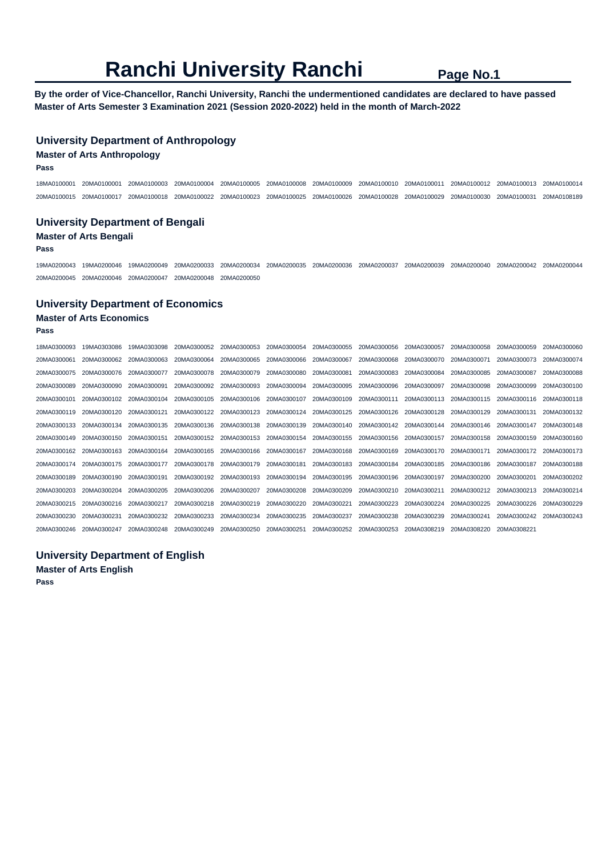**By the order of Vice-Chancellor, Ranchi University, Ranchi the undermentioned candidates are declared to have passed Master of Arts Semester 3 Examination 2021 (Session 2020-2022) held in the month of March-2022** 

## **University Department of Anthropology**

### **Master of Arts Anthropology**

**Pass** 

18MA0100001 20MA0100001 20MA0100003 20MA0100004 20MA0100005 20MA0100008 20MA0100009 20MA0100010 20MA0100011 20MA0100012 20MA0100013 20MA0100014 20MA0100015 20MA0100017 20MA0100018 20MA0100022 20MA0100023 20MA0100025 20MA0100026 20MA0100028 20MA0100029 20MA0100030 20MA0100031 20MA0108189

## **University Department of Bengali Master of Arts Bengali**

#### **Pass**

19MA0200043 19MA0200046 19MA0200049 20MA0200033 20MA0200034 20MA0200035 20MA0200036 20MA0200037 20MA0200039 20MA0200040 20MA0200042 20MA0200044 20MA0200045 20MA0200046 20MA0200047 20MA0200048 20MA0200050

### **University Department of Economics**

# **Master of Arts Economics**

**Pass** 

| 18MA0300093 | 19MA0303086 | 19MA0303098 | 20MA0300052 | 20MA0300053 | 20MA0300054 | 20MA0300055 | 20MA0300056 | 20MA0300057 | 20MA0300058 | 20MA0300059 | 20MA0300060 |
|-------------|-------------|-------------|-------------|-------------|-------------|-------------|-------------|-------------|-------------|-------------|-------------|
| 20MA0300061 | 20MA0300062 | 20MA0300063 | 20MA0300064 | 20MA0300065 | 20MA0300066 | 20MA0300067 | 20MA0300068 | 20MA0300070 | 20MA0300071 | 20MA0300073 | 20MA0300074 |
| 20MA0300075 | 20MA0300076 | 20MA0300077 | 20MA0300078 | 20MA0300079 | 20MA0300080 | 20MA0300081 | 20MA0300083 | 20MA0300084 | 20MA0300085 | 20MA0300087 | 20MA0300088 |
| 20MA0300089 | 20MA0300090 | 20MA0300091 | 20MA0300092 | 20MA0300093 | 20MA0300094 | 20MA0300095 | 20MA0300096 | 20MA0300097 | 20MA0300098 | 20MA0300099 | 20MA0300100 |
| 20MA0300101 | 20MA0300102 | 20MA0300104 | 20MA0300105 | 20MA0300106 | 20MA0300107 | 20MA0300109 | 20MA0300111 | 20MA0300113 | 20MA0300115 | 20MA0300116 | 20MA0300118 |
| 20MA0300119 | 20MA0300120 | 20MA0300121 | 20MA0300122 | 20MA0300123 | 20MA0300124 | 20MA0300125 | 20MA0300126 | 20MA0300128 | 20MA0300129 | 20MA0300131 | 20MA0300132 |
| 20MA0300133 | 20MA0300134 | 20MA0300135 | 20MA0300136 | 20MA0300138 | 20MA0300139 | 20MA0300140 | 20MA0300142 | 20MA0300144 | 20MA0300146 | 20MA0300147 | 20MA0300148 |
| 20MA0300149 | 20MA0300150 | 20MA0300151 | 20MA0300152 | 20MA0300153 | 20MA0300154 | 20MA0300155 | 20MA0300156 | 20MA0300157 | 20MA0300158 | 20MA0300159 | 20MA0300160 |
| 20MA0300162 | 20MA0300163 | 20MA0300164 | 20MA0300165 | 20MA0300166 | 20MA0300167 | 20MA0300168 | 20MA0300169 | 20MA0300170 | 20MA0300171 | 20MA0300172 | 20MA0300173 |
| 20MA0300174 | 20MA0300175 | 20MA0300177 | 20MA0300178 | 20MA0300179 | 20MA0300181 | 20MA0300183 | 20MA0300184 | 20MA0300185 | 20MA0300186 | 20MA0300187 | 20MA0300188 |
| 20MA0300189 | 20MA0300190 | 20MA0300191 | 20MA0300192 | 20MA0300193 | 20MA0300194 | 20MA0300195 | 20MA0300196 | 20MA0300197 | 20MA0300200 | 20MA0300201 | 20MA0300202 |
| 20MA0300203 | 20MA0300204 | 20MA0300205 | 20MA0300206 | 20MA0300207 | 20MA0300208 | 20MA0300209 | 20MA0300210 | 20MA0300211 | 20MA0300212 | 20MA0300213 | 20MA0300214 |
| 20MA0300215 | 20MA0300216 | 20MA0300217 | 20MA0300218 | 20MA0300219 | 20MA0300220 | 20MA0300221 | 20MA0300223 | 20MA0300224 | 20MA0300225 | 20MA0300226 | 20MA0300229 |
| 20MA0300230 | 20MA0300231 | 20MA0300232 | 20MA0300233 | 20MA0300234 | 20MA0300235 | 20MA0300237 | 20MA0300238 | 20MA0300239 | 20MA0300241 | 20MA0300242 | 20MA0300243 |
| 20MA0300246 | 20MA0300247 | 20MA0300248 | 20MA0300249 | 20MA0300250 | 20MA0300251 | 20MA0300252 | 20MA0300253 | 20MA0308219 | 20MA0308220 | 20MA0308221 |             |

## **University Department of English**

**Master of Arts English Pass**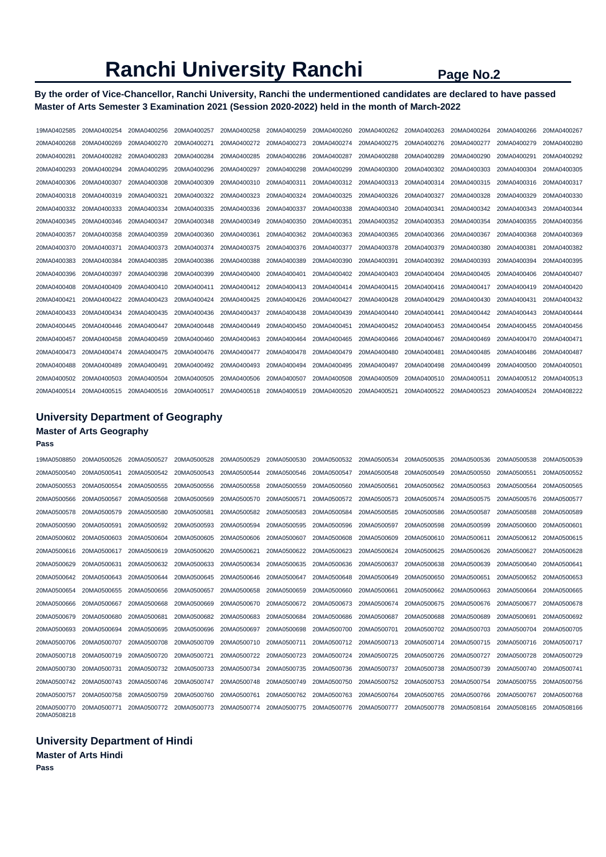## **By the order of Vice-Chancellor, Ranchi University, Ranchi the undermentioned candidates are declared to have passed Master of Arts Semester 3 Examination 2021 (Session 2020-2022) held in the month of March-2022**

| 19MA0402585 | 20MA0400254 | 20MA0400256 | 20MA0400257             | 20MA0400258 | 20MA0400259 | 20MA0400260 | 20MA0400262 | 20MA0400263 | 20MA0400264 | 20MA0400266 | 20MA0400267 |
|-------------|-------------|-------------|-------------------------|-------------|-------------|-------------|-------------|-------------|-------------|-------------|-------------|
| 20MA0400268 | 20MA0400269 | 20MA0400270 | 20MA0400271             | 20MA0400272 | 20MA0400273 | 20MA0400274 | 20MA0400275 | 20MA0400276 | 20MA0400277 | 20MA0400279 | 20MA0400280 |
| 20MA0400281 | 20MA0400282 | 20MA0400283 | 20MA0400284             | 20MA0400285 | 20MA0400286 | 20MA0400287 | 20MA0400288 | 20MA0400289 | 20MA0400290 | 20MA0400291 | 20MA0400292 |
| 20MA0400293 | 20MA0400294 | 20MA0400295 | 20MA0400296             | 20MA0400297 | 20MA0400298 | 20MA0400299 | 20MA0400300 | 20MA0400302 | 20MA0400303 | 20MA0400304 | 20MA0400305 |
| 20MA0400306 | 20MA0400307 | 20MA0400308 | 20MA0400309             | 20MA0400310 | 20MA0400311 | 20MA0400312 | 20MA0400313 | 20MA0400314 | 20MA0400315 | 20MA0400316 | 20MA0400317 |
| 20MA0400318 | 20MA0400319 | 20MA0400321 | 20MA0400322             | 20MA0400323 | 20MA0400324 | 20MA0400325 | 20MA0400326 | 20MA0400327 | 20MA0400328 | 20MA0400329 | 20MA0400330 |
| 20MA0400332 | 20MA0400333 | 20MA0400334 | 20MA0400335             | 20MA0400336 | 20MA0400337 | 20MA0400338 | 20MA0400340 | 20MA0400341 | 20MA0400342 | 20MA0400343 | 20MA0400344 |
| 20MA0400345 | 20MA0400346 | 20MA0400347 | 20MA0400348             | 20MA0400349 | 20MA0400350 | 20MA0400351 | 20MA0400352 | 20MA0400353 | 20MA0400354 | 20MA0400355 | 20MA0400356 |
| 20MA0400357 | 20MA0400358 | 20MA0400359 | 20MA0400360             | 20MA0400361 | 20MA0400362 | 20MA0400363 | 20MA0400365 | 20MA0400366 | 20MA0400367 | 20MA0400368 | 20MA0400369 |
| 20MA0400370 | 20MA0400371 | 20MA0400373 | 20MA0400374             | 20MA0400375 | 20MA0400376 | 20MA0400377 | 20MA0400378 | 20MA0400379 | 20MA0400380 | 20MA0400381 | 20MA0400382 |
| 20MA0400383 | 20MA0400384 | 20MA0400385 | 20MA0400386             | 20MA0400388 | 20MA0400389 | 20MA0400390 | 20MA0400391 | 20MA0400392 | 20MA0400393 | 20MA0400394 | 20MA0400395 |
| 20MA0400396 | 20MA0400397 | 20MA0400398 | 20MA0400399             | 20MA0400400 | 20MA0400401 | 20MA0400402 | 20MA0400403 | 20MA0400404 | 20MA0400405 | 20MA0400406 | 20MA0400407 |
| 20MA0400408 | 20MA0400409 | 20MA0400410 | 20MA0400411             | 20MA0400412 | 20MA0400413 | 20MA0400414 | 20MA0400415 | 20MA0400416 | 20MA0400417 | 20MA0400419 | 20MA0400420 |
| 20MA0400421 | 20MA0400422 | 20MA0400423 | 20MA0400424             | 20MA0400425 | 20MA0400426 | 20MA0400427 | 20MA0400428 | 20MA0400429 | 20MA0400430 | 20MA0400431 | 20MA0400432 |
| 20MA0400433 | 20MA0400434 | 20MA0400435 | 20MA0400436             | 20MA0400437 | 20MA0400438 | 20MA0400439 | 20MA0400440 | 20MA0400441 | 20MA0400442 | 20MA0400443 | 20MA0400444 |
| 20MA0400445 | 20MA0400446 | 20MA0400447 | 20MA0400448             | 20MA0400449 | 20MA0400450 | 20MA0400451 | 20MA0400452 | 20MA0400453 | 20MA0400454 | 20MA0400455 | 20MA0400456 |
| 20MA0400457 | 20MA0400458 | 20MA0400459 | 20MA0400460             | 20MA0400463 | 20MA0400464 | 20MA0400465 | 20MA0400466 | 20MA0400467 | 20MA0400469 | 20MA0400470 | 20MA0400471 |
| 20MA0400473 | 20MA0400474 | 20MA0400475 | 20MA0400476             | 20MA0400477 | 20MA0400478 | 20MA0400479 | 20MA0400480 | 20MA0400481 | 20MA0400485 | 20MA0400486 | 20MA0400487 |
| 20MA0400488 | 20MA0400489 | 20MA0400491 | 20MA0400492             | 20MA0400493 | 20MA0400494 | 20MA0400495 | 20MA0400497 | 20MA0400498 | 20MA0400499 | 20MA0400500 | 20MA0400501 |
| 20MA0400502 | 20MA0400503 | 20MA0400504 | 20MA0400505             | 20MA0400506 | 20MA0400507 | 20MA0400508 | 20MA0400509 | 20MA0400510 | 20MA0400511 | 20MA0400512 | 20MA0400513 |
| 20MA0400514 | 20MA0400515 |             | 20MA0400516 20MA0400517 | 20MA0400518 | 20MA0400519 | 20MA0400520 | 20MA0400521 | 20MA0400522 | 20MA0400523 | 20MA0400524 | 20MA0408222 |

# **University Department of Geography Master of Arts Geography**

#### **Pass**

| 19MA0508850                | 20MA0500526 | 20MA0500527 | 20MA0500528 | 20MA0500529 | 20MA0500530 | 20MA0500532 | 20MA0500534 | 20MA0500535 | 20MA0500536 | 20MA0500538 | 20MA0500539 |
|----------------------------|-------------|-------------|-------------|-------------|-------------|-------------|-------------|-------------|-------------|-------------|-------------|
| 20MA0500540                | 20MA0500541 | 20MA0500542 | 20MA0500543 | 20MA0500544 | 20MA0500546 | 20MA0500547 | 20MA0500548 | 20MA0500549 | 20MA0500550 | 20MA0500551 | 20MA0500552 |
| 20MA0500553                | 20MA0500554 | 20MA0500555 | 20MA0500556 | 20MA0500558 | 20MA0500559 | 20MA0500560 | 20MA0500561 | 20MA0500562 | 20MA0500563 | 20MA0500564 | 20MA0500565 |
| 20MA0500566                | 20MA0500567 | 20MA0500568 | 20MA0500569 | 20MA0500570 | 20MA0500571 | 20MA0500572 | 20MA0500573 | 20MA0500574 | 20MA0500575 | 20MA0500576 | 20MA0500577 |
| 20MA0500578                | 20MA0500579 | 20MA0500580 | 20MA0500581 | 20MA0500582 | 20MA0500583 | 20MA0500584 | 20MA0500585 | 20MA0500586 | 20MA0500587 | 20MA0500588 | 20MA0500589 |
| 20MA0500590                | 20MA0500591 | 20MA0500592 | 20MA0500593 | 20MA0500594 | 20MA0500595 | 20MA0500596 | 20MA0500597 | 20MA0500598 | 20MA0500599 | 20MA0500600 | 20MA0500601 |
| 20MA0500602                | 20MA0500603 | 20MA0500604 | 20MA0500605 | 20MA0500606 | 20MA0500607 | 20MA0500608 | 20MA0500609 | 20MA0500610 | 20MA0500611 | 20MA0500612 | 20MA0500615 |
| 20MA0500616                | 20MA0500617 | 20MA0500619 | 20MA0500620 | 20MA0500621 | 20MA0500622 | 20MA0500623 | 20MA0500624 | 20MA0500625 | 20MA0500626 | 20MA0500627 | 20MA0500628 |
| 20MA0500629                | 20MA0500631 | 20MA0500632 | 20MA0500633 | 20MA0500634 | 20MA0500635 | 20MA0500636 | 20MA0500637 | 20MA0500638 | 20MA0500639 | 20MA0500640 | 20MA0500641 |
| 20MA0500642                | 20MA0500643 | 20MA0500644 | 20MA0500645 | 20MA0500646 | 20MA0500647 | 20MA0500648 | 20MA0500649 | 20MA0500650 | 20MA0500651 | 20MA0500652 | 20MA0500653 |
| 20MA0500654                | 20MA0500655 | 20MA0500656 | 20MA0500657 | 20MA0500658 | 20MA0500659 | 20MA0500660 | 20MA0500661 | 20MA0500662 | 20MA0500663 | 20MA0500664 | 20MA0500665 |
| 20MA0500666                | 20MA0500667 | 20MA0500668 | 20MA0500669 | 20MA0500670 | 20MA0500672 | 20MA0500673 | 20MA0500674 | 20MA0500675 | 20MA0500676 | 20MA0500677 | 20MA0500678 |
| 20MA0500679                | 20MA0500680 | 20MA0500681 | 20MA0500682 | 20MA0500683 | 20MA0500684 | 20MA0500686 | 20MA0500687 | 20MA0500688 | 20MA0500689 | 20MA0500691 | 20MA0500692 |
| 20MA0500693                | 20MA0500694 | 20MA0500695 | 20MA0500696 | 20MA0500697 | 20MA0500698 | 20MA0500700 | 20MA0500701 | 20MA0500702 | 20MA0500703 | 20MA0500704 | 20MA0500705 |
| 20MA0500706                | 20MA0500707 | 20MA0500708 | 20MA0500709 | 20MA0500710 | 20MA0500711 | 20MA0500712 | 20MA0500713 | 20MA0500714 | 20MA0500715 | 20MA0500716 | 20MA0500717 |
| 20MA0500718                | 20MA0500719 | 20MA0500720 | 20MA0500721 | 20MA0500722 | 20MA0500723 | 20MA0500724 | 20MA0500725 | 20MA0500726 | 20MA0500727 | 20MA0500728 | 20MA0500729 |
| 20MA0500730                | 20MA0500731 | 20MA0500732 | 20MA0500733 | 20MA0500734 | 20MA0500735 | 20MA0500736 | 20MA0500737 | 20MA0500738 | 20MA0500739 | 20MA0500740 | 20MA0500741 |
| 20MA0500742                | 20MA0500743 | 20MA0500746 | 20MA0500747 | 20MA0500748 | 20MA0500749 | 20MA0500750 | 20MA0500752 | 20MA0500753 | 20MA0500754 | 20MA0500755 | 20MA0500756 |
| 20MA0500757                | 20MA0500758 | 20MA0500759 | 20MA0500760 | 20MA0500761 | 20MA0500762 | 20MA0500763 | 20MA0500764 | 20MA0500765 | 20MA0500766 | 20MA0500767 | 20MA0500768 |
| 20MA0500770<br>20MA0508218 | 20MA0500771 | 20MA0500772 | 20MA0500773 | 20MA0500774 | 20MA0500775 | 20MA0500776 | 20MA0500777 | 20MA0500778 | 20MA0508164 | 20MA0508165 | 20MA0508166 |

## **University Department of Hindi Master of Arts Hindi**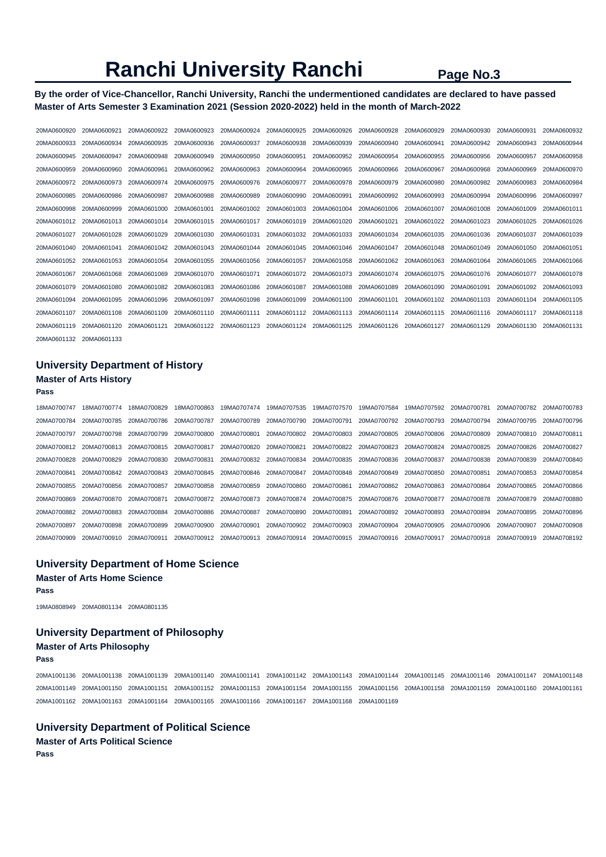## **By the order of Vice-Chancellor, Ranchi University, Ranchi the undermentioned candidates are declared to have passed Master of Arts Semester 3 Examination 2021 (Session 2020-2022) held in the month of March-2022**

| 20MA0600920 | 20MA0600921 | 20MA0600922 | 20MA0600923 | 20MA0600924 | 20MA0600925 | 20MA0600926 | 20MA0600928 | 20MA0600929 | 20MA0600930 | 20MA0600931 | 20MA0600932 |
|-------------|-------------|-------------|-------------|-------------|-------------|-------------|-------------|-------------|-------------|-------------|-------------|
| 20MA0600933 | 20MA0600934 | 20MA0600935 | 20MA0600936 | 20MA0600937 | 20MA0600938 | 20MA0600939 | 20MA0600940 | 20MA0600941 | 20MA0600942 | 20MA0600943 | 20MA0600944 |
| 20MA0600945 | 20MA0600947 | 20MA0600948 | 20MA0600949 | 20MA0600950 | 20MA0600951 | 20MA0600952 | 20MA0600954 | 20MA0600955 | 20MA0600956 | 20MA0600957 | 20MA0600958 |
| 20MA0600959 | 20MA0600960 | 20MA0600961 | 20MA0600962 | 20MA0600963 | 20MA0600964 | 20MA0600965 | 20MA0600966 | 20MA0600967 | 20MA0600968 | 20MA0600969 | 20MA0600970 |
| 20MA0600972 | 20MA0600973 | 20MA0600974 | 20MA0600975 | 20MA0600976 | 20MA0600977 | 20MA0600978 | 20MA0600979 | 20MA0600980 | 20MA0600982 | 20MA0600983 | 20MA0600984 |
| 20MA0600985 | 20MA0600986 | 20MA0600987 | 20MA0600988 | 20MA0600989 | 20MA0600990 | 20MA0600991 | 20MA0600992 | 20MA0600993 | 20MA0600994 | 20MA0600996 | 20MA0600997 |
| 20MA0600998 | 20MA0600999 | 20MA0601000 | 20MA0601001 | 20MA0601002 | 20MA0601003 | 20MA0601004 | 20MA0601006 | 20MA0601007 | 20MA0601008 | 20MA0601009 | 20MA0601011 |
| 20MA0601012 | 20MA0601013 | 20MA0601014 | 20MA0601015 | 20MA0601017 | 20MA0601019 | 20MA0601020 | 20MA0601021 | 20MA0601022 | 20MA0601023 | 20MA0601025 | 20MA0601026 |
| 20MA0601027 | 20MA0601028 | 20MA0601029 | 20MA0601030 | 20MA0601031 | 20MA0601032 | 20MA0601033 | 20MA0601034 | 20MA0601035 | 20MA0601036 | 20MA0601037 | 20MA0601039 |
| 20MA0601040 | 20MA0601041 | 20MA0601042 | 20MA0601043 | 20MA0601044 | 20MA0601045 | 20MA0601046 | 20MA0601047 | 20MA0601048 | 20MA0601049 | 20MA0601050 | 20MA0601051 |
| 20MA0601052 | 20MA0601053 | 20MA0601054 | 20MA0601055 | 20MA0601056 | 20MA0601057 | 20MA0601058 | 20MA0601062 | 20MA0601063 | 20MA0601064 | 20MA0601065 | 20MA0601066 |
| 20MA0601067 | 20MA0601068 | 20MA0601069 | 20MA0601070 | 20MA0601071 | 20MA0601072 | 20MA0601073 | 20MA0601074 | 20MA0601075 | 20MA0601076 | 20MA0601077 | 20MA0601078 |
| 20MA0601079 | 20MA0601080 | 20MA0601082 | 20MA0601083 | 20MA0601086 | 20MA0601087 | 20MA0601088 | 20MA0601089 | 20MA0601090 | 20MA0601091 | 20MA0601092 | 20MA0601093 |
| 20MA0601094 | 20MA0601095 | 20MA0601096 | 20MA0601097 | 20MA0601098 | 20MA0601099 | 20MA0601100 | 20MA0601101 | 20MA0601102 | 20MA0601103 | 20MA0601104 | 20MA0601105 |
| 20MA0601107 | 20MA0601108 | 20MA0601109 | 20MA0601110 | 20MA0601111 | 20MA0601112 | 20MA0601113 | 20MA0601114 | 20MA0601115 | 20MA0601116 | 20MA0601117 | 20MA0601118 |
| 20MA0601119 | 20MA0601120 | 20MA0601121 | 20MA0601122 | 20MA0601123 | 20MA0601124 | 20MA0601125 | 20MA0601126 | 20MA0601127 | 20MA0601129 | 20MA0601130 | 20MA0601131 |
| 20MA0601132 | 20MA0601133 |             |             |             |             |             |             |             |             |             |             |

## **University Department of History**

# **Master of Arts History**

### **Pass**

| 18MA0700747 | 18MA0700774 | 18MA0700829 | 18MA0700863 | 19MA0707474             | 19MA0707535 | 19MA0707570 | 19MA0707584             | 19MA0707592 | 20MA0700781 | 20MA0700782 | 20MA0700783 |
|-------------|-------------|-------------|-------------|-------------------------|-------------|-------------|-------------------------|-------------|-------------|-------------|-------------|
| 20MA0700784 | 20MA0700785 | 20MA0700786 | 20MA0700787 | 20MA0700789             | 20MA0700790 | 20MA0700791 | 20MA0700792             | 20MA0700793 | 20MA0700794 | 20MA0700795 | 20MA0700796 |
| 20MA0700797 | 20MA0700798 | 20MA0700799 | 20MA0700800 | 20MA0700801             | 20MA0700802 | 20MA0700803 | 20MA0700805             | 20MA0700806 | 20MA0700809 | 20MA0700810 | 20MA0700811 |
| 20MA0700812 | 20MA0700813 | 20MA0700815 | 20MA0700817 | 20MA0700820             | 20MA0700821 | 20MA0700822 | 20MA0700823             | 20MA0700824 | 20MA0700825 | 20MA0700826 | 20MA0700827 |
| 20MA0700828 | 20MA0700829 | 20MA0700830 | 20MA0700831 | 20MA0700832             | 20MA0700834 | 20MA0700835 | 20MA0700836             | 20MA0700837 | 20MA0700838 | 20MA0700839 | 20MA0700840 |
| 20MA0700841 | 20MA0700842 | 20MA0700843 | 20MA0700845 | 20MA0700846             | 20MA0700847 | 20MA0700848 | 20MA0700849             | 20MA0700850 | 20MA0700851 | 20MA0700853 | 20MA0700854 |
| 20MA0700855 | 20MA0700856 | 20MA0700857 | 20MA0700858 | 20MA0700859             | 20MA0700860 | 20MA0700861 | 20MA0700862             | 20MA0700863 | 20MA0700864 | 20MA0700865 | 20MA0700866 |
| 20MA0700869 | 20MA0700870 | 20MA0700871 | 20MA0700872 | 20MA0700873             | 20MA0700874 | 20MA0700875 | 20MA0700876             | 20MA0700877 | 20MA0700878 | 20MA0700879 | 20MA0700880 |
| 20MA0700882 | 20MA0700883 | 20MA0700884 | 20MA0700886 | 20MA0700887             | 20MA0700890 | 20MA0700891 | 20MA0700892             | 20MA0700893 | 20MA0700894 | 20MA0700895 | 20MA0700896 |
| 20MA0700897 | 20MA0700898 | 20MA0700899 | 20MA0700900 | 20MA0700901             | 20MA0700902 | 20MA0700903 | 20MA0700904             | 20MA0700905 | 20MA0700906 | 20MA0700907 | 20MA0700908 |
| 20MA0700909 | 20MA0700910 | 20MA0700911 |             | 20MA0700912 20MA0700913 | 20MA0700914 | 20MA0700915 | 20MA0700916 20MA0700917 |             | 20MA0700918 | 20MA0700919 | 20MA0708192 |

# **University Department of Home Science Master of Arts Home Science**

#### **Pass**

19MA0808949 20MA0801134 20MA0801135

## **University Department of Philosophy**

### **Master of Arts Philosophy**

**Pass** 

20MA1001136 20MA1001138 20MA1001139 20MA1001140 20MA1001141 20MA1001142 20MA1001143 20MA1001144 20MA1001145 20MA1001146 20MA1001147 20MA1001148 20MA1001149 20MA1001150 20MA1001151 20MA1001152 20MA1001153 20MA1001154 20MA1001155 20MA1001156 20MA1001158 20MA1001159 20MA1001160 20MA1001161 20MA1001162 20MA1001163 20MA1001164 20MA1001165 20MA1001166 20MA1001167 20MA1001168 20MA1001169

# **University Department of Political Science**

**Master of Arts Political Science Pass**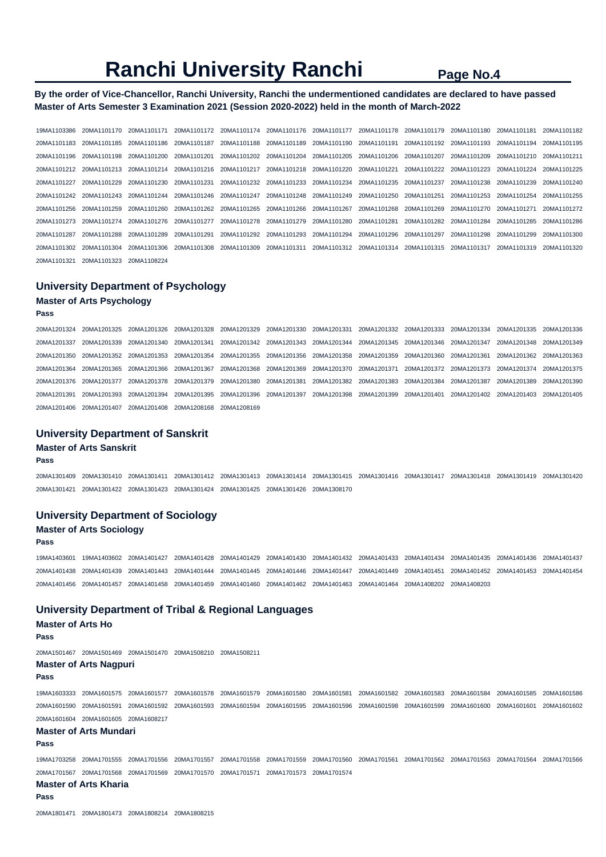### **By the order of Vice-Chancellor, Ranchi University, Ranchi the undermentioned candidates are declared to have passed Master of Arts Semester 3 Examination 2021 (Session 2020-2022) held in the month of March-2022**

19MA1103386 20MA1101170 20MA1101171 20MA1101172 20MA1101174 20MA1101176 20MA1101177 20MA1101178 20MA1101179 20MA1101180 20MA1101181 20MA1101182 20MA1101183 20MA1101185 20MA1101186 20MA1101187 20MA1101188 20MA1101189 20MA1101190 20MA1101191 20MA1101192 20MA1101193 20MA1101194 20MA1101195 20MA1101196 20MA1101198 20MA1101200 20MA1101201 20MA1101202 20MA1101204 20MA1101205 20MA1101206 20MA1101207 20MA1101209 20MA1101210 20MA1101211 20MA1101212 20MA1101213 20MA1101214 20MA1101216 20MA1101217 20MA1101218 20MA1101220 20MA1101221 20MA1101222 20MA1101223 20MA1101224 20MA1101225 20MA1101227 20MA1101229 20MA1101230 20MA1101231 20MA1101232 20MA1101233 20MA1101234 20MA1101235 20MA1101237 20MA1101238 20MA1101239 20MA1101240 20MA1101242 20MA1101243 20MA1101244 20MA1101246 20MA1101247 20MA1101248 20MA1101249 20MA1101250 20MA1101251 20MA1101253 20MA1101254 20MA1101255 20MA1101256 20MA1101259 20MA1101260 20MA1101262 20MA1101265 20MA1101266 20MA1101267 20MA1101268 20MA1101269 20MA1101270 20MA1101271 20MA1101272 20MA1101273 20MA1101274 20MA1101276 20MA1101277 20MA1101278 20MA1101279 20MA1101280 20MA1101281 20MA1101282 20MA1101284 20MA1101285 20MA1101286 20MA1101287 20MA1101288 20MA1101289 20MA1101291 20MA1101292 20MA1101293 20MA1101294 20MA1101296 20MA1101297 20MA1101298 20MA1101299 20MA1101300 20MA1101302 20MA1101304 20MA1101306 20MA1101308 20MA1101309 20MA1101311 20MA1101312 20MA1101314 20MA1101315 20MA1101317 20MA1101319 20MA1101320 20MA1101321 20MA1101323 20MA1108224

## **University Department of Psychology**

## **Master of Arts Psychology**

**Pass** 

20MA1201324 20MA1201325 20MA1201326 20MA1201328 20MA1201329 20MA1201330 20MA1201331 20MA1201332 20MA1201333 20MA1201334 20MA1201335 20MA1201336 20MA1201337 20MA1201339 20MA1201340 20MA1201341 20MA1201342 20MA1201343 20MA1201344 20MA1201345 20MA1201346 20MA1201347 20MA1201348 20MA1201349 20MA1201350 20MA1201352 20MA1201353 20MA1201354 20MA1201355 20MA1201356 20MA1201358 20MA1201359 20MA1201360 20MA1201361 20MA1201362 20MA1201363 20MA1201364 20MA1201365 20MA1201366 20MA1201367 20MA1201368 20MA1201369 20MA1201370 20MA1201371 20MA1201372 20MA1201373 20MA1201374 20MA1201375 20MA1201376 20MA1201377 20MA1201378 20MA1201379 20MA1201380 20MA1201381 20MA1201382 20MA1201383 20MA1201384 20MA1201387 20MA1201389 20MA1201390 20MA1201391 20MA1201393 20MA1201394 20MA1201395 20MA1201396 20MA1201397 20MA1201398 20MA1201399 20MA1201401 20MA1201402 20MA1201403 20MA1201405 20MA1201406 20MA1201407 20MA1201408 20MA1208168 20MA1208169

#### **University Department of Sanskrit**

#### **Master of Arts Sanskrit**

**Pass** 

20MA1301409 20MA1301410 20MA1301411 20MA1301412 20MA1301413 20MA1301414 20MA1301415 20MA1301416 20MA1301417 20MA1301418 20MA1301419 20MA1301420 20MA1301421 20MA1301422 20MA1301423 20MA1301424 20MA1301425 20MA1301426 20MA1308170

### **University Department of Sociology**

### **Master of Arts Sociology**

**Pass** 

19MA1403601 19MA1403602 20MA1401427 20MA1401428 20MA1401429 20MA1401430 20MA1401432 20MA1401433 20MA1401434 20MA1401435 20MA1401436 20MA1401437 20MA1401438 20MA1401439 20MA1401443 20MA1401444 20MA1401445 20MA1401446 20MA1401447 20MA1401449 20MA1401451 20MA1401452 20MA1401453 20MA1401454 20MA1401456 20MA1401457 20MA1401458 20MA1401459 20MA1401460 20MA1401462 20MA1401463 20MA1401464 20MA1408202 20MA1408203

### **University Department of Tribal & Regional Languages**

#### **Master of Arts Ho Pass**

20MA1501467 20MA1501469 20MA1501470 20MA1508210 20MA1508211

#### **Master of Arts Nagpuri**

**Pass** 

19MA1603333 20MA1601575 20MA1601577 20MA1601578 20MA1601579 20MA1601580 20MA1601581 20MA1601582 20MA1601583 20MA1601584 20MA1601585 20MA1601586 20MA1601590 20MA1601591 20MA1601592 20MA1601593 20MA1601594 20MA1601595 20MA1601596 20MA1601598 20MA1601599 20MA1601600 20MA1601601 20MA1601602 20MA1601604 20MA1601605 20MA1608217

#### **Master of Arts Mundari**

**Pass** 

19MA1703258 20MA1701555 20MA1701556 20MA1701557 20MA1701558 20MA1701559 20MA1701560 20MA1701561 20MA1701562 20MA1701563 20MA1701564 20MA1701566 20MA1701567 20MA1701568 20MA1701569 20MA1701570 20MA1701571 20MA1701573 20MA1701574

## **Master of Arts Kharia**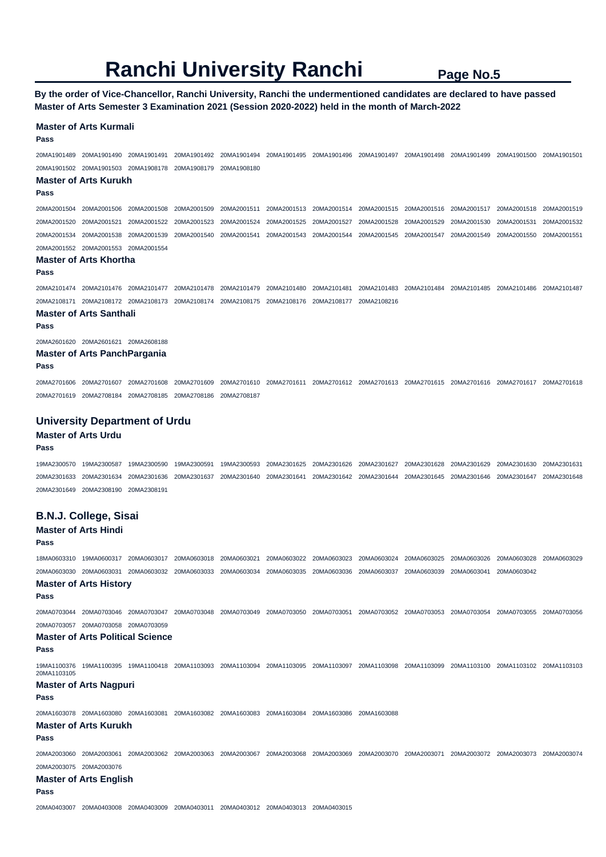**By the order of Vice-Chancellor, Ranchi University, Ranchi the undermentioned candidates are declared to have passed Master of Arts Semester 3 Examination 2021 (Session 2020-2022) held in the month of March-2022** 

#### **Master of Arts Kurmali**

**Pass** 

20MA1901489 20MA1901490 20MA1901491 20MA1901492 20MA1901494 20MA1901495 20MA1901496 20MA1901497 20MA1901498 20MA1901499 20MA1901500 20MA1901501 20MA1901502 20MA1901503 20MA1908178 20MA1908179 20MA1908180

#### **Master of Arts Kurukh**

**Pass** 

20MA2001504 20MA2001506 20MA2001508 20MA2001509 20MA2001511 20MA2001513 20MA2001514 20MA2001515 20MA2001516 20MA2001517 20MA2001518 20MA2001519 20MA2001520 20MA2001521 20MA2001522 20MA2001523 20MA2001524 20MA2001525 20MA2001527 20MA2001528 20MA2001529 20MA2001530 20MA2001531 20MA2001532 20MA2001534 20MA2001538 20MA2001539 20MA2001540 20MA2001541 20MA2001543 20MA2001544 20MA2001545 20MA2001547 20MA2001549 20MA2001550 20MA2001551 20MA2001552 20MA2001553 20MA2001554

#### **Master of Arts Khortha**

#### **Pass**

20MA2101474 20MA2101476 20MA2101477 20MA2101478 20MA2101479 20MA2101480 20MA2101481 20MA2101483 20MA2101484 20MA2101485 20MA2101486 20MA2101487 20MA2108171 20MA2108172 20MA2108173 20MA2108174 20MA2108175 20MA2108176 20MA2108177 20MA2108216

#### **Master of Arts Santhali**

**Pass** 

20MA2601620 20MA2601621 20MA2608188

### **Master of Arts PanchPargania**

**Pass** 

20MA2701606 20MA2701607 20MA2701608 20MA2701609 20MA2701610 20MA2701611 20MA2701612 20MA2701613 20MA2701615 20MA2701616 20MA2701617 20MA2701618 20MA2701619 20MA2708184 20MA2708185 20MA2708186 20MA2708187

#### **University Department of Urdu**

#### **Master of Arts Urdu**

#### **Pass**

19MA2300570 19MA2300587 19MA2300590 19MA2300591 19MA2300593 20MA2301625 20MA2301626 20MA2301627 20MA2301628 20MA2301629 20MA2301630 20MA2301631 20MA2301633 20MA2301634 20MA2301636 20MA2301637 20MA2301640 20MA2301641 20MA2301642 20MA2301644 20MA2301645 20MA2301646 20MA2301647 20MA2301648 20MA2301649 20MA2308190 20MA2308191

# **B.N.J. College, Sisai**

### **Master of Arts Hindi**

#### **Pass**

18MA0603310 19MA0600317 20MA0603017 20MA0603018 20MA0603021 20MA0603022 20MA0603023 20MA0603024 20MA0603025 20MA0603026 20MA0603028 20MA0603029 20MA0603030 20MA0603031 20MA0603032 20MA0603033 20MA0603034 20MA0603035 20MA0603036 20MA0603037 20MA0603039 20MA0603041 20MA0603042

### **Master of Arts History**

**Pass** 

20MA0703044 20MA0703046 20MA0703047 20MA0703048 20MA0703049 20MA0703050 20MA0703051 20MA0703052 20MA0703053 20MA0703054 20MA0703055 20MA0703056 20MA0703057 20MA0703058 20MA0703059

#### **Master of Arts Political Science**

**Pass** 

19MA1100376 19MA1100395 19MA1100418 20MA1103093 20MA1103094 20MA1103095 20MA1103097 20MA1103098 20MA1103099 20MA1103100 20MA1103102 20MA1103103 20MA1103105

#### **Master of Arts Nagpuri**

#### **Pass**

20MA1603078 20MA1603080 20MA1603081 20MA1603082 20MA1603083 20MA1603084 20MA1603086 20MA1603088

#### **Master of Arts Kurukh**

#### **Pass**

20MA2003060 20MA2003061 20MA2003062 20MA2003063 20MA2003067 20MA2003068 20MA2003069 20MA2003070 20MA2003071 20MA2003072 20MA2003073 20MA2003074 20MA2003075 20MA2003076

### **Master of Arts English**

**Pass** 

20MA0403007 20MA0403008 20MA0403009 20MA0403011 20MA0403012 20MA0403013 20MA0403015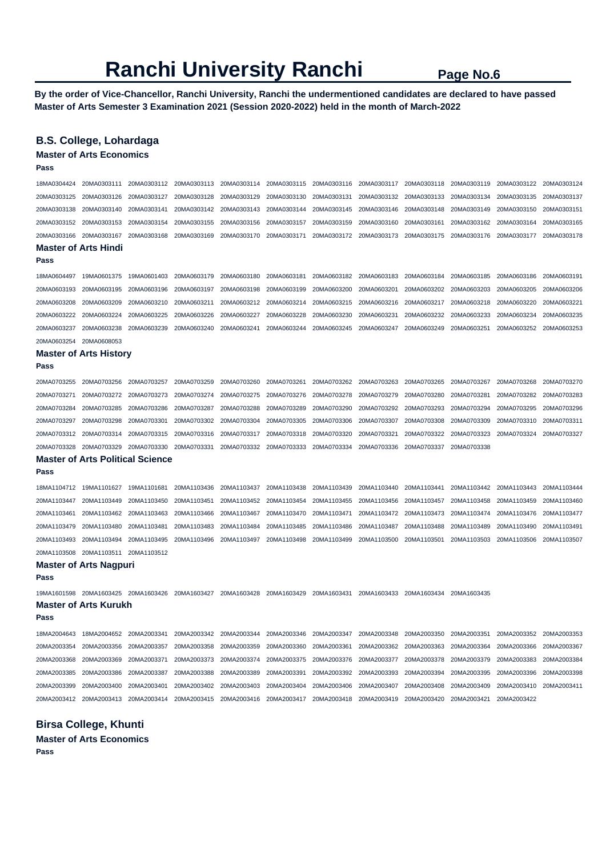**By the order of Vice-Chancellor, Ranchi University, Ranchi the undermentioned candidates are declared to have passed Master of Arts Semester 3 Examination 2021 (Session 2020-2022) held in the month of March-2022** 

## **B.S. College, Lohardaga**

**Master of Arts Economics** 

| Pass                        |                                         |             |             |                         |                                                                         |                                     |                         |             |             |                         |             |
|-----------------------------|-----------------------------------------|-------------|-------------|-------------------------|-------------------------------------------------------------------------|-------------------------------------|-------------------------|-------------|-------------|-------------------------|-------------|
| 18MA0304424                 | 20MA0303111                             | 20MA0303112 | 20MA0303113 | 20MA0303114             | 20MA0303115                                                             | 20MA0303116                         | 20MA0303117             | 20MA0303118 | 20MA0303119 | 20MA0303122             | 20MA0303124 |
| 20MA0303125                 | 20MA0303126                             | 20MA0303127 | 20MA0303128 | 20MA0303129             | 20MA0303130                                                             | 20MA0303131                         | 20MA0303132             | 20MA0303133 | 20MA0303134 | 20MA0303135             | 20MA0303137 |
| 20MA0303138                 | 20MA0303140                             | 20MA0303141 | 20MA0303142 | 20MA0303143             | 20MA0303144                                                             | 20MA0303145                         | 20MA0303146             | 20MA0303148 | 20MA0303149 | 20MA0303150             | 20MA0303151 |
| 20MA0303152                 | 20MA0303153                             | 20MA0303154 | 20MA0303155 | 20MA0303156             | 20MA0303157                                                             | 20MA0303159                         | 20MA0303160             | 20MA0303161 | 20MA0303162 | 20MA0303164             | 20MA0303165 |
| 20MA0303166                 | 20MA0303167                             | 20MA0303168 | 20MA0303169 | 20MA0303170             | 20MA0303171                                                             | 20MA0303172                         | 20MA0303173             | 20MA0303175 | 20MA0303176 | 20MA0303177             | 20MA0303178 |
| <b>Master of Arts Hindi</b> |                                         |             |             |                         |                                                                         |                                     |                         |             |             |                         |             |
| Pass                        |                                         |             |             |                         |                                                                         |                                     |                         |             |             |                         |             |
| 18MA0604497                 | 19MA0601375                             | 19MA0601403 | 20MA0603179 | 20MA0603180             | 20MA0603181                                                             | 20MA0603182                         | 20MA0603183             | 20MA0603184 | 20MA0603185 | 20MA0603186             | 20MA0603191 |
| 20MA0603193                 | 20MA0603195                             | 20MA0603196 | 20MA0603197 | 20MA0603198             | 20MA0603199                                                             | 20MA0603200                         | 20MA0603201             | 20MA0603202 | 20MA0603203 | 20MA0603205             | 20MA0603206 |
| 20MA0603208                 | 20MA0603209                             | 20MA0603210 | 20MA0603211 | 20MA0603212             | 20MA0603214                                                             | 20MA0603215                         | 20MA0603216             | 20MA0603217 | 20MA0603218 | 20MA0603220             | 20MA0603221 |
| 20MA0603222                 | 20MA0603224                             | 20MA0603225 | 20MA0603226 | 20MA0603227             | 20MA0603228                                                             | 20MA0603230                         | 20MA0603231             | 20MA0603232 | 20MA0603233 | 20MA0603234             | 20MA0603235 |
| 20MA0603237                 | 20MA0603238                             | 20MA0603239 | 20MA0603240 | 20MA0603241             | 20MA0603244                                                             | 20MA0603245                         | 20MA0603247             | 20MA0603249 | 20MA0603251 | 20MA0603252             | 20MA0603253 |
| 20MA0603254                 | 20MA0608053                             |             |             |                         |                                                                         |                                     |                         |             |             |                         |             |
|                             | <b>Master of Arts History</b>           |             |             |                         |                                                                         |                                     |                         |             |             |                         |             |
| Pass                        |                                         |             |             |                         |                                                                         |                                     |                         |             |             |                         |             |
| 20MA0703255                 | 20MA0703256                             | 20MA0703257 | 20MA0703259 | 20MA0703260             | 20MA0703261                                                             | 20MA0703262                         | 20MA0703263             | 20MA0703265 | 20MA0703267 | 20MA0703268             | 20MA0703270 |
| 20MA0703271                 | 20MA0703272                             | 20MA0703273 | 20MA0703274 | 20MA0703275             | 20MA0703276                                                             | 20MA0703278                         | 20MA0703279             | 20MA0703280 | 20MA0703281 | 20MA0703282             | 20MA0703283 |
| 20MA0703284                 | 20MA0703285                             | 20MA0703286 | 20MA0703287 | 20MA0703288             | 20MA0703289                                                             | 20MA0703290                         | 20MA0703292             | 20MA0703293 | 20MA0703294 | 20MA0703295             | 20MA0703296 |
| 20MA0703297                 | 20MA0703298                             | 20MA0703301 | 20MA0703302 | 20MA0703304             | 20MA0703305                                                             | 20MA0703306                         | 20MA0703307             | 20MA0703308 | 20MA0703309 | 20MA0703310             | 20MA0703311 |
| 20MA0703312                 | 20MA0703314                             | 20MA0703315 | 20MA0703316 | 20MA0703317             | 20MA0703318                                                             | 20MA0703320                         | 20MA0703321             | 20MA0703322 | 20MA0703323 | 20MA0703324             | 20MA0703327 |
| 20MA0703328                 | 20MA0703329                             | 20MA0703330 | 20MA0703331 | 20MA0703332             | 20MA0703333                                                             | 20MA0703334                         | 20MA0703336             | 20MA0703337 | 20MA0703338 |                         |             |
|                             | <b>Master of Arts Political Science</b> |             |             |                         |                                                                         |                                     |                         |             |             |                         |             |
| Pass                        |                                         |             |             |                         |                                                                         |                                     |                         |             |             |                         |             |
|                             | 18MA1104712 19MA1101627                 | 19MA1101681 | 20MA1103436 | 20MA1103437             | 20MA1103438                                                             | 20MA1103439                         | 20MA1103440             | 20MA1103441 | 20MA1103442 | 20MA1103443             | 20MA1103444 |
| 20MA1103447                 | 20MA1103449                             | 20MA1103450 | 20MA1103451 | 20MA1103452             | 20MA1103454                                                             | 20MA1103455                         | 20MA1103456             | 20MA1103457 | 20MA1103458 | 20MA1103459             | 20MA1103460 |
| 20MA1103461                 | 20MA1103462                             | 20MA1103463 | 20MA1103466 | 20MA1103467             | 20MA1103470                                                             | 20MA1103471                         | 20MA1103472             | 20MA1103473 | 20MA1103474 | 20MA1103476             | 20MA1103477 |
| 20MA1103479                 | 20MA1103480                             | 20MA1103481 | 20MA1103483 | 20MA1103484             | 20MA1103485                                                             | 20MA1103486                         | 20MA1103487             | 20MA1103488 | 20MA1103489 | 20MA1103490             | 20MA1103491 |
| 20MA1103493                 | 20MA1103494                             | 20MA1103495 | 20MA1103496 | 20MA1103497             | 20MA1103498                                                             | 20MA1103499                         | 20MA1103500             | 20MA1103501 | 20MA1103503 | 20MA1103506             | 20MA1103507 |
| 20MA1103508                 | 20MA1103511                             | 20MA1103512 |             |                         |                                                                         |                                     |                         |             |             |                         |             |
|                             | <b>Master of Arts Nagpuri</b>           |             |             |                         |                                                                         |                                     |                         |             |             |                         |             |
| Pass                        |                                         |             |             |                         |                                                                         |                                     |                         |             |             |                         |             |
|                             | 19MA1601598 20MA1603425 20MA1603426     |             | 20MA1603427 | 20MA1603428             | 20MA1603429                                                             | 20MA1603431                         | 20MA1603433             | 20MA1603434 | 20MA1603435 |                         |             |
|                             | <b>Master of Arts Kurukh</b>            |             |             |                         |                                                                         |                                     |                         |             |             |                         |             |
| Pass                        |                                         |             |             |                         |                                                                         |                                     |                         |             |             |                         |             |
|                             |                                         |             |             | 20MA2003342 20MA2003344 |                                                                         | 20MA2003346 20MA2003347 20MA2003348 |                         | 20MA2003350 | 20MA2003351 | 20MA2003352 20MA2003353 |             |
| 20MA2003354                 | 20MA2003356                             | 20MA2003357 | 20MA2003358 | 20MA2003359             | 20MA2003360                                                             | 20MA2003361                         | 20MA2003362 20MA2003363 |             | 20MA2003364 | 20MA2003366             | 20MA2003367 |
| 20MA2003368                 | 20MA2003369                             | 20MA2003371 | 20MA2003373 | 20MA2003374             | 20MA2003375                                                             | 20MA2003376                         | 20MA2003377             | 20MA2003378 | 20MA2003379 | 20MA2003383             | 20MA2003384 |
| 20MA2003385                 | 20MA2003386                             | 20MA2003387 | 20MA2003388 | 20MA2003389             | 20MA2003391                                                             | 20MA2003392                         | 20MA2003393             | 20MA2003394 | 20MA2003395 | 20MA2003396             | 20MA2003398 |
| 20MA2003399                 | 20MA2003400                             | 20MA2003401 | 20MA2003402 | 20MA2003403             | 20MA2003404                                                             | 20MA2003406                         | 20MA2003407             | 20MA2003408 | 20MA2003409 | 20MA2003410             | 20MA2003411 |
|                             | 20MA2003412 20MA2003413 20MA2003414     |             |             |                         | 20MA2003415 20MA2003416 20MA2003417 20MA2003418 20MA2003419 20MA2003420 |                                     |                         |             | 20MA2003421 | 20MA2003422             |             |
|                             |                                         |             |             |                         |                                                                         |                                     |                         |             |             |                         |             |

**Birsa College, Khunti** 

**Master of Arts Economics Pass**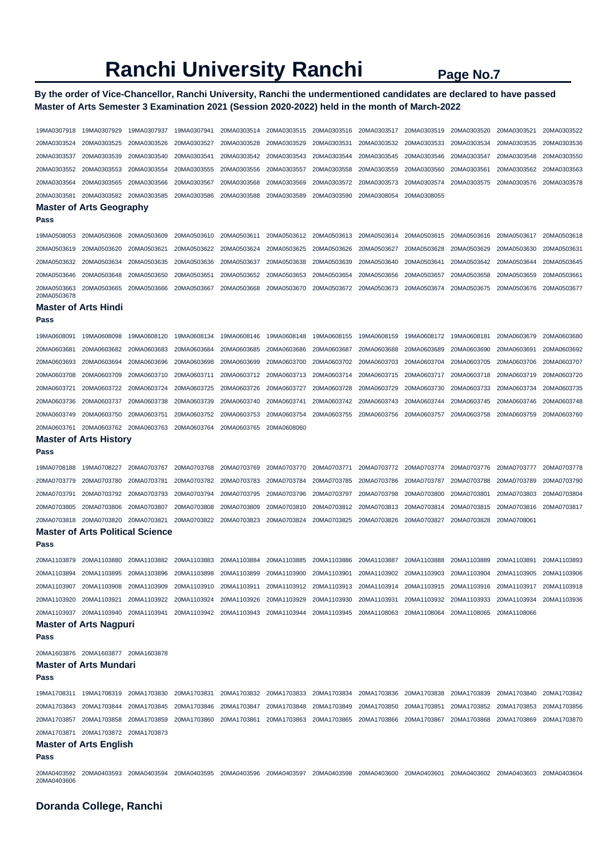## **By the order of Vice-Chancellor, Ranchi University, Ranchi the undermentioned candidates are declared to have passed Master of Arts Semester 3 Examination 2021 (Session 2020-2022) held in the month of March-2022**

| 19MA0307918                                | 19MA0307929                                                                                                                                                 | 19MA0307937 | 19MA0307941             | 20MA0303514                                                                         | 20MA0303515             | 20MA0303516 | 20MA0303517                                     | 20MA0303519             | 20MA0303520 | 20MA0303521 | 20MA0303522 |
|--------------------------------------------|-------------------------------------------------------------------------------------------------------------------------------------------------------------|-------------|-------------------------|-------------------------------------------------------------------------------------|-------------------------|-------------|-------------------------------------------------|-------------------------|-------------|-------------|-------------|
| 20MA0303524                                | 20MA0303525                                                                                                                                                 | 20MA0303526 | 20MA0303527             | 20MA0303528                                                                         | 20MA0303529             | 20MA0303531 | 20MA0303532                                     | 20MA0303533             | 20MA0303534 | 20MA0303535 | 20MA0303536 |
| 20MA0303537                                | 20MA0303539                                                                                                                                                 | 20MA0303540 | 20MA0303541             | 20MA0303542                                                                         | 20MA0303543             | 20MA0303544 | 20MA0303545                                     | 20MA0303546             | 20MA0303547 | 20MA0303548 | 20MA0303550 |
| 20MA0303552                                | 20MA0303553                                                                                                                                                 | 20MA0303554 | 20MA0303555             | 20MA0303556                                                                         | 20MA0303557             | 20MA0303558 | 20MA0303559                                     | 20MA0303560             | 20MA0303561 | 20MA0303562 | 20MA0303563 |
| 20MA0303564                                | 20MA0303565                                                                                                                                                 | 20MA0303566 | 20MA0303567             | 20MA0303568                                                                         | 20MA0303569             | 20MA0303572 | 20MA0303573                                     | 20MA0303574             | 20MA0303575 | 20MA0303576 | 20MA0303578 |
| 20MA0303581                                | 20MA0303582                                                                                                                                                 | 20MA0303585 | 20MA0303586             | 20MA0303588                                                                         | 20MA0303589             | 20MA0303590 | 20MA0308054                                     | 20MA0308055             |             |             |             |
|                                            | <b>Master of Arts Geography</b>                                                                                                                             |             |                         |                                                                                     |                         |             |                                                 |                         |             |             |             |
| Pass                                       |                                                                                                                                                             |             |                         |                                                                                     |                         |             |                                                 |                         |             |             |             |
| 19MA0508053                                | 20MA0503608                                                                                                                                                 | 20MA0503609 | 20MA0503610             | 20MA0503611                                                                         | 20MA0503612             | 20MA0503613 | 20MA0503614                                     | 20MA0503615             | 20MA0503616 | 20MA0503617 | 20MA0503618 |
| 20MA0503619                                | 20MA0503620                                                                                                                                                 | 20MA0503621 | 20MA0503622             | 20MA0503624                                                                         | 20MA0503625             | 20MA0503626 | 20MA0503627                                     | 20MA0503628             | 20MA0503629 | 20MA0503630 | 20MA0503631 |
| 20MA0503632                                | 20MA0503634                                                                                                                                                 | 20MA0503635 | 20MA0503636             | 20MA0503637                                                                         | 20MA0503638             | 20MA0503639 | 20MA0503640                                     | 20MA0503641             | 20MA0503642 | 20MA0503644 | 20MA0503645 |
| 20MA0503646                                | 20MA0503648                                                                                                                                                 | 20MA0503650 | 20MA0503651             | 20MA0503652                                                                         | 20MA0503653             | 20MA0503654 | 20MA0503656                                     | 20MA0503657             | 20MA0503658 | 20MA0503659 | 20MA0503661 |
| 20MA0503663                                | 20MA0503665                                                                                                                                                 | 20MA0503666 | 20MA0503667             | 20MA0503668                                                                         | 20MA0503670             | 20MA0503672 | 20MA0503673                                     | 20MA0503674             | 20MA0503675 | 20MA0503676 | 20MA0503677 |
| 20MA0503678<br><b>Master of Arts Hindi</b> |                                                                                                                                                             |             |                         |                                                                                     |                         |             |                                                 |                         |             |             |             |
| Pass                                       |                                                                                                                                                             |             |                         |                                                                                     |                         |             |                                                 |                         |             |             |             |
|                                            |                                                                                                                                                             |             |                         |                                                                                     |                         |             |                                                 |                         |             |             |             |
| 19MA0608091                                | 19MA0608098                                                                                                                                                 | 19MA0608120 | 19MA0608134             | 19MA0608146                                                                         | 19MA0608148             | 19MA0608155 | 19MA0608159                                     | 19MA0608172             | 19MA0608181 | 20MA0603679 | 20MA0603680 |
| 20MA0603681                                | 20MA0603682                                                                                                                                                 | 20MA0603683 | 20MA0603684             | 20MA0603685                                                                         | 20MA0603686             | 20MA0603687 | 20MA0603688                                     | 20MA0603689             | 20MA0603690 | 20MA0603691 | 20MA0603692 |
| 20MA0603693                                | 20MA0603694                                                                                                                                                 | 20MA0603696 | 20MA0603698             | 20MA0603699                                                                         | 20MA0603700             | 20MA0603702 | 20MA0603703                                     | 20MA0603704             | 20MA0603705 | 20MA0603706 | 20MA0603707 |
| 20MA0603708                                | 20MA0603709                                                                                                                                                 | 20MA0603710 | 20MA0603711             | 20MA0603712                                                                         | 20MA0603713             | 20MA0603714 | 20MA0603715                                     | 20MA0603717             | 20MA0603718 | 20MA0603719 | 20MA0603720 |
| 20MA0603721                                | 20MA0603722                                                                                                                                                 | 20MA0603724 | 20MA0603725             | 20MA0603726                                                                         | 20MA0603727             | 20MA0603728 | 20MA0603729                                     | 20MA0603730             | 20MA0603733 | 20MA0603734 | 20MA0603735 |
| 20MA0603736                                | 20MA0603737                                                                                                                                                 | 20MA0603738 | 20MA0603739             | 20MA0603740                                                                         | 20MA0603741             | 20MA0603742 | 20MA0603743                                     | 20MA0603744             | 20MA0603745 | 20MA0603746 | 20MA0603748 |
| 20MA0603749                                | 20MA0603750                                                                                                                                                 | 20MA0603751 | 20MA0603752             | 20MA0603753                                                                         | 20MA0603754             | 20MA0603755 | 20MA0603756                                     | 20MA0603757             | 20MA0603758 | 20MA0603759 | 20MA0603760 |
| 20MA0603761                                | 20MA0603762                                                                                                                                                 | 20MA0603763 | 20MA0603764             | 20MA0603765                                                                         | 20MA0608060             |             |                                                 |                         |             |             |             |
| Pass                                       | <b>Master of Arts History</b>                                                                                                                               |             |                         |                                                                                     |                         |             |                                                 |                         |             |             |             |
| 19MA0708188                                | 19MA0708227                                                                                                                                                 | 20MA0703767 | 20MA0703768             | 20MA0703769                                                                         | 20MA0703770             | 20MA0703771 | 20MA0703772                                     | 20MA0703774             | 20MA0703776 | 20MA0703777 | 20MA0703778 |
| 20MA0703779                                | 20MA0703780                                                                                                                                                 | 20MA0703781 | 20MA0703782             | 20MA0703783                                                                         | 20MA0703784             | 20MA0703785 | 20MA0703786                                     | 20MA0703787             | 20MA0703788 | 20MA0703789 | 20MA0703790 |
| 20MA0703791                                | 20MA0703792                                                                                                                                                 | 20MA0703793 | 20MA0703794             | 20MA0703795                                                                         | 20MA0703796             | 20MA0703797 | 20MA0703798                                     | 20MA0703800             | 20MA0703801 | 20MA0703803 | 20MA0703804 |
| 20MA0703805                                | 20MA0703806                                                                                                                                                 | 20MA0703807 | 20MA0703808             | 20MA0703809                                                                         | 20MA0703810             | 20MA0703812 | 20MA0703813                                     | 20MA0703814             | 20MA0703815 | 20MA0703816 | 20MA0703817 |
| 20MA0703818                                | 20MA0703820                                                                                                                                                 | 20MA0703821 | 20MA0703822             | 20MA0703823                                                                         | 20MA0703824             | 20MA0703825 | 20MA0703826                                     | 20MA0703827             | 20MA0703828 | 20MA0708061 |             |
|                                            | <b>Master of Arts Political Science</b>                                                                                                                     |             |                         |                                                                                     |                         |             |                                                 |                         |             |             |             |
| Pass                                       |                                                                                                                                                             |             |                         |                                                                                     |                         |             |                                                 |                         |             |             |             |
| 20MA1103879                                | 20MA1103880                                                                                                                                                 | 20MA1103882 | 20MA1103883             | 20MA1103884                                                                         | 20MA1103885             | 20MA1103886 | 20MA1103887                                     | 20MA1103888             | 20MA1103889 | 20MA1103891 | 20MA1103893 |
| 20MA1103894                                | 20MA1103895                                                                                                                                                 | 20MA1103896 | 20MA1103898             | 20MA1103899                                                                         | 20MA1103900             | 20MA1103901 | 20MA1103902                                     | 20MA1103903             | 20MA1103904 | 20MA1103905 | 20MA1103906 |
|                                            | 20MA1103907 20MA1103908 20MA1103909                                                                                                                         |             |                         | 20MA1103910 20MA1103911 20MA1103912 20MA1103913 20MA1103914 20MA1103915 20MA1103916 |                         |             |                                                 |                         |             | 20MA1103917 | 20MA1103918 |
|                                            | 20MA1103920 20MA1103921 20MA1103922                                                                                                                         |             | 20MA1103924 20MA1103926 |                                                                                     | 20MA1103929             | 20MA1103930 | 20MA1103931                                     | 20MA1103932 20MA1103933 |             | 20MA1103934 | 20MA1103936 |
|                                            | 20MA1103937 20MA1103940 20MA1103941 20MA1103942 20MA1103943 20MA1103944 20MA1103945 20MA1108063 20MA1108064 20MA1108065 20MA1108066                         |             |                         |                                                                                     |                         |             |                                                 |                         |             |             |             |
|                                            | <b>Master of Arts Nagpuri</b>                                                                                                                               |             |                         |                                                                                     |                         |             |                                                 |                         |             |             |             |
| Pass                                       |                                                                                                                                                             |             |                         |                                                                                     |                         |             |                                                 |                         |             |             |             |
|                                            | 20MA1603876 20MA1603877 20MA1603878                                                                                                                         |             |                         |                                                                                     |                         |             |                                                 |                         |             |             |             |
|                                            | <b>Master of Arts Mundari</b>                                                                                                                               |             |                         |                                                                                     |                         |             |                                                 |                         |             |             |             |
| Pass                                       |                                                                                                                                                             |             |                         |                                                                                     |                         |             |                                                 |                         |             |             |             |
|                                            |                                                                                                                                                             |             | 20MA1703831             | 20MA1703832                                                                         | 20MA1703833 20MA1703834 |             | 20MA1703836 20MA1703838                         |                         | 20MA1703839 | 20MA1703840 | 20MA1703842 |
|                                            | 20MA1703843 20MA1703844 20MA1703845                                                                                                                         |             | 20MA1703846             | 20MA1703847                                                                         | 20MA1703848             | 20MA1703849 | 20MA1703850 20MA1703851                         |                         | 20MA1703852 | 20MA1703853 | 20MA1703856 |
|                                            | 20MA1703857 20MA1703858 20MA1703859                                                                                                                         |             |                         | 20MA1703860 20MA1703861 20MA1703863 20MA1703865                                     |                         |             | 20MA1703866 20MA1703867 20MA1703868 20MA1703869 |                         |             |             | 20MA1703870 |
|                                            | 20MA1703871 20MA1703872 20MA1703873                                                                                                                         |             |                         |                                                                                     |                         |             |                                                 |                         |             |             |             |
| Pass                                       | <b>Master of Arts English</b>                                                                                                                               |             |                         |                                                                                     |                         |             |                                                 |                         |             |             |             |
| 20MA0403606                                | 20MA0403592 20MA0403593 20MA0403594 20MA0403595 20MA0403596 20MA0403597 20MA0403598 20MA0403600 20MA0403601 20MA0403602 20MA0403603 20MA0403603 20MA0403604 |             |                         |                                                                                     |                         |             |                                                 |                         |             |             |             |

**Doranda College, Ranchi**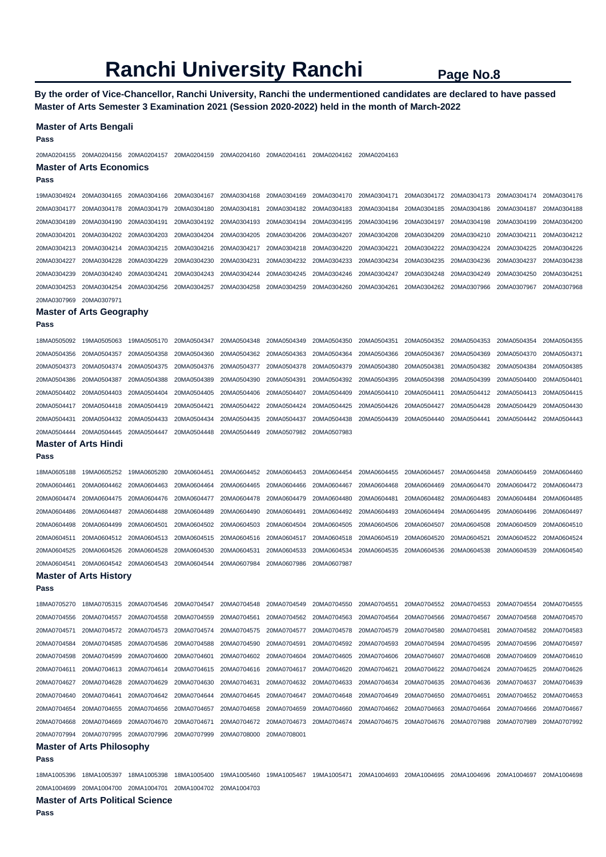**By the order of Vice-Chancellor, Ranchi University, Ranchi the undermentioned candidates are declared to have passed Master of Arts Semester 3 Examination 2021 (Session 2020-2022) held in the month of March-2022** 

| Pass                       | <b>Master of Arts Bengali</b>                   |                            |             |                            |                            |                            |                                                                                     |                            |                            |             |                            |
|----------------------------|-------------------------------------------------|----------------------------|-------------|----------------------------|----------------------------|----------------------------|-------------------------------------------------------------------------------------|----------------------------|----------------------------|-------------|----------------------------|
| 20MA0204155                | 20MA0204156 20MA0204157                         |                            | 20MA0204159 | 20MA0204160                | 20MA0204161                | 20MA0204162                | 20MA0204163                                                                         |                            |                            |             |                            |
| Pass                       | <b>Master of Arts Economics</b>                 |                            |             |                            |                            |                            |                                                                                     |                            |                            |             |                            |
| 19MA0304924                | 20MA0304165                                     | 20MA0304166                | 20MA0304167 | 20MA0304168                | 20MA0304169                | 20MA0304170                | 20MA0304171                                                                         | 20MA0304172                | 20MA0304173                | 20MA0304174 | 20MA0304176                |
| 20MA0304177                | 20MA0304178                                     | 20MA0304179                | 20MA0304180 | 20MA0304181                | 20MA0304182                | 20MA0304183                | 20MA0304184                                                                         | 20MA0304185                | 20MA0304186                | 20MA0304187 | 20MA0304188                |
| 20MA0304189                | 20MA0304190                                     | 20MA0304191                | 20MA0304192 | 20MA0304193                | 20MA0304194                | 20MA0304195                | 20MA0304196                                                                         | 20MA0304197                | 20MA0304198                | 20MA0304199 | 20MA0304200                |
| 20MA0304201                | 20MA0304202                                     | 20MA0304203                | 20MA0304204 | 20MA0304205                | 20MA0304206                | 20MA0304207                | 20MA0304208                                                                         | 20MA0304209                | 20MA0304210                | 20MA0304211 | 20MA0304212                |
| 20MA0304213                | 20MA0304214                                     | 20MA0304215                | 20MA0304216 | 20MA0304217                | 20MA0304218                | 20MA0304220                | 20MA0304221                                                                         | 20MA0304222                | 20MA0304224                | 20MA0304225 | 20MA0304226                |
| 20MA0304227                | 20MA0304228                                     | 20MA0304229                | 20MA0304230 | 20MA0304231                | 20MA0304232                | 20MA0304233                | 20MA0304234                                                                         | 20MA0304235                | 20MA0304236                | 20MA0304237 | 20MA0304238                |
| 20MA0304239                | 20MA0304240                                     | 20MA0304241                | 20MA0304243 | 20MA0304244                | 20MA0304245                | 20MA0304246                | 20MA0304247                                                                         | 20MA0304248                | 20MA0304249                | 20MA0304250 | 20MA0304251                |
| 20MA0304253                | 20MA0304254                                     | 20MA0304256                | 20MA0304257 | 20MA0304258                | 20MA0304259                | 20MA0304260                | 20MA0304261                                                                         | 20MA0304262                | 20MA0307966                | 20MA0307967 | 20MA0307968                |
| 20MA0307969                | 20MA0307971                                     |                            |             |                            |                            |                            |                                                                                     |                            |                            |             |                            |
|                            | <b>Master of Arts Geography</b>                 |                            |             |                            |                            |                            |                                                                                     |                            |                            |             |                            |
| Pass                       |                                                 |                            |             |                            |                            |                            |                                                                                     |                            |                            |             |                            |
| 18MA0505092                | 19MA0505063                                     | 19MA0505170                | 20MA0504347 | 20MA0504348                | 20MA0504349                | 20MA0504350                | 20MA0504351                                                                         | 20MA0504352                | 20MA0504353                | 20MA0504354 | 20MA0504355                |
| 20MA0504356                | 20MA0504357                                     | 20MA0504358                | 20MA0504360 | 20MA0504362                | 20MA0504363                | 20MA0504364                | 20MA0504366                                                                         | 20MA0504367                | 20MA0504369                | 20MA0504370 | 20MA0504371                |
| 20MA0504373                | 20MA0504374                                     | 20MA0504375                | 20MA0504376 | 20MA0504377                | 20MA0504378                | 20MA0504379                | 20MA0504380                                                                         | 20MA0504381                | 20MA0504382                | 20MA0504384 | 20MA0504385                |
| 20MA0504386                | 20MA0504387                                     | 20MA0504388                | 20MA0504389 | 20MA0504390                | 20MA0504391                | 20MA0504392                | 20MA0504395                                                                         | 20MA0504398                | 20MA0504399                | 20MA0504400 | 20MA0504401                |
| 20MA0504402                | 20MA0504403                                     | 20MA0504404                | 20MA0504405 | 20MA0504406                | 20MA0504407                | 20MA0504409                | 20MA0504410                                                                         | 20MA0504411                | 20MA0504412                | 20MA0504413 | 20MA0504415                |
| 20MA0504417                | 20MA0504418                                     | 20MA0504419                | 20MA0504421 | 20MA0504422                | 20MA0504424                | 20MA0504425                | 20MA0504426                                                                         | 20MA0504427                | 20MA0504428                | 20MA0504429 | 20MA0504430                |
| 20MA0504431                | 20MA0504432                                     | 20MA0504433                | 20MA0504434 | 20MA0504435                | 20MA0504437                | 20MA0504438                | 20MA0504439                                                                         | 20MA0504440                | 20MA0504441                | 20MA0504442 | 20MA0504443                |
| 20MA0504444                | 20MA0504445                                     | 20MA0504447                | 20MA0504448 | 20MA0504449                | 20MA0507982                | 20MA0507983                |                                                                                     |                            |                            |             |                            |
|                            | <b>Master of Arts Hindi</b>                     |                            |             |                            |                            |                            |                                                                                     |                            |                            |             |                            |
| Pass                       |                                                 |                            |             |                            |                            |                            |                                                                                     |                            |                            |             |                            |
|                            |                                                 |                            |             |                            |                            |                            |                                                                                     |                            |                            |             |                            |
| 18MA0605188                | 19MA0605252                                     | 19MA0605280                | 20MA0604451 | 20MA0604452                | 20MA0604453                | 20MA0604454                | 20MA0604455                                                                         | 20MA0604457                | 20MA0604458                | 20MA0604459 | 20MA0604460                |
| 20MA0604461                | 20MA0604462                                     | 20MA0604463                | 20MA0604464 | 20MA0604465                | 20MA0604466                | 20MA0604467                | 20MA0604468                                                                         | 20MA0604469                | 20MA0604470                | 20MA0604472 | 20MA0604473                |
| 20MA0604474                | 20MA0604475                                     | 20MA0604476                | 20MA0604477 | 20MA0604478                | 20MA0604479                | 20MA0604480                | 20MA0604481                                                                         | 20MA0604482                | 20MA0604483                | 20MA0604484 | 20MA0604485                |
| 20MA0604486                | 20MA0604487                                     | 20MA0604488                | 20MA0604489 | 20MA0604490                | 20MA0604491                | 20MA0604492                | 20MA0604493                                                                         | 20MA0604494                | 20MA0604495                | 20MA0604496 | 20MA0604497                |
| 20MA0604498<br>20MA0604511 | 20MA0604499                                     | 20MA0604501<br>20MA0604513 | 20MA0604502 | 20MA0604503<br>20MA0604516 | 20MA0604504                | 20MA0604505<br>20MA0604518 | 20MA0604506<br>20MA0604519                                                          | 20MA0604507                | 20MA0604508                | 20MA0604509 | 20MA0604510                |
| 20MA0604525                | 20MA0604512                                     | 20MA0604528                | 20MA0604515 |                            | 20MA0604517<br>20MA0604533 |                            | 20MA0604535                                                                         | 20MA0604520<br>20MA0604536 | 20MA0604521<br>20MA0604538 | 20MA0604522 | 20MA0604524<br>20MA0604540 |
| 20MA0604541                | 20MA0604526                                     | 20MA0604543                | 20MA0604530 | 20MA0604531                | 20MA0607986                | 20MA0604534                |                                                                                     |                            |                            | 20MA0604539 |                            |
|                            | 20MA0604542<br><b>Master of Arts History</b>    |                            | 20MA0604544 | 20MA0607984                |                            | 20MA0607987                |                                                                                     |                            |                            |             |                            |
| Pass                       |                                                 |                            |             |                            |                            |                            |                                                                                     |                            |                            |             |                            |
| 18MA0705270                | 18MA0705315                                     | 20MA0704546                | 20MA0704547 | 20MA0704548                | 20MA0704549                | 20MA0704550                | 20MA0704551                                                                         | 20MA0704552                | 20MA0704553                | 20MA0704554 | 20MA0704555                |
| 20MA0704556                | 20MA0704557                                     | 20MA0704558                | 20MA0704559 | 20MA0704561                | 20MA0704562                | 20MA0704563                | 20MA0704564                                                                         | 20MA0704566                | 20MA0704567                | 20MA0704568 | 20MA0704570                |
| 20MA0704571                | 20MA0704572                                     | 20MA0704573                | 20MA0704574 | 20MA0704575                | 20MA0704577                | 20MA0704578                | 20MA0704579                                                                         | 20MA0704580                | 20MA0704581                | 20MA0704582 | 20MA0704583                |
| 20MA0704584                | 20MA0704585                                     | 20MA0704586                | 20MA0704588 | 20MA0704590                | 20MA0704591                | 20MA0704592                | 20MA0704593                                                                         | 20MA0704594                | 20MA0704595                | 20MA0704596 | 20MA0704597                |
| 20MA0704598                | 20MA0704599                                     | 20MA0704600                | 20MA0704601 | 20MA0704602                | 20MA0704604                | 20MA0704605                | 20MA0704606                                                                         | 20MA0704607                | 20MA0704608                | 20MA0704609 | 20MA0704610                |
| 20MA0704611                | 20MA0704613                                     | 20MA0704614                | 20MA0704615 | 20MA0704616                | 20MA0704617                | 20MA0704620                | 20MA0704621                                                                         | 20MA0704622                | 20MA0704624                | 20MA0704625 | 20MA0704626                |
| 20MA0704627                | 20MA0704628                                     | 20MA0704629                | 20MA0704630 | 20MA0704631                | 20MA0704632                | 20MA0704633                | 20MA0704634                                                                         | 20MA0704635                | 20MA0704636                | 20MA0704637 | 20MA0704639                |
| 20MA0704640                | 20MA0704641                                     | 20MA0704642                | 20MA0704644 | 20MA0704645                | 20MA0704647                | 20MA0704648                | 20MA0704649                                                                         | 20MA0704650                | 20MA0704651                | 20MA0704652 | 20MA0704653                |
| 20MA0704654                | 20MA0704655                                     | 20MA0704656                | 20MA0704657 | 20MA0704658                | 20MA0704659                | 20MA0704660                | 20MA0704662                                                                         | 20MA0704663                | 20MA0704664                | 20MA0704666 | 20MA0704667                |
| 20MA0704668                | 20MA0704669                                     | 20MA0704670                | 20MA0704671 | 20MA0704672                | 20MA0704673                | 20MA0704674                | 20MA0704675                                                                         | 20MA0704676                | 20MA0707988                | 20MA0707989 | 20MA0707992                |
| 20MA0707994                | 20MA0707995                                     | 20MA0707996                | 20MA0707999 | 20MA0708000                | 20MA0708001                |                            |                                                                                     |                            |                            |             |                            |
|                            | <b>Master of Arts Philosophy</b>                |                            |             |                            |                            |                            |                                                                                     |                            |                            |             |                            |
| Pass                       |                                                 |                            |             |                            |                            |                            |                                                                                     |                            |                            |             |                            |
| 18MA1005396                | 18MA1005397                                     | 18MA1005398                | 18MA1005400 | 19MA1005460                |                            |                            | 19MA1005467 19MA1005471 20MA1004693 20MA1004695 20MA1004696 20MA1004697 20MA1004698 |                            |                            |             |                            |
| 20MA1004699                | 20MA1004700 20MA1004701 20MA1004702 20MA1004703 |                            |             |                            |                            |                            |                                                                                     |                            |                            |             |                            |
|                            | <b>Master of Arts Political Science</b>         |                            |             |                            |                            |                            |                                                                                     |                            |                            |             |                            |
| Pass                       |                                                 |                            |             |                            |                            |                            |                                                                                     |                            |                            |             |                            |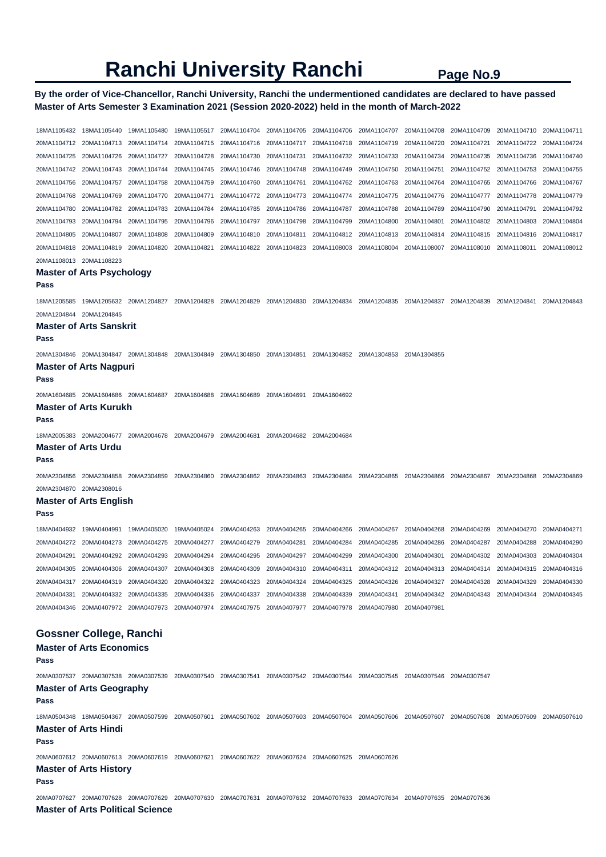### **By the order of Vice-Chancellor, Ranchi University, Ranchi the undermentioned candidates are declared to have passed Master of Arts Semester 3 Examination 2021 (Session 2020-2022) held in the month of March-2022**

18MA1105432 18MA1105440 19MA1105480 19MA1105517 20MA1104704 20MA1104705 20MA1104706 20MA1104707 20MA1104708 20MA1104709 20MA1104710 20MA1104711 20MA1104712 20MA1104713 20MA1104714 20MA1104715 20MA1104716 20MA1104717 20MA1104718 20MA1104719 20MA1104720 20MA1104721 20MA1104722 20MA1104724 20MA1104725 20MA1104726 20MA1104727 20MA1104728 20MA1104730 20MA1104731 20MA1104732 20MA1104733 20MA1104734 20MA1104735 20MA1104736 20MA1104740 20MA1104742 20MA1104743 20MA1104744 20MA1104745 20MA1104746 20MA1104748 20MA1104749 20MA1104750 20MA1104751 20MA1104752 20MA1104753 20MA1104755 20MA1104756 20MA1104757 20MA1104758 20MA1104759 20MA1104760 20MA1104761 20MA1104762 20MA1104763 20MA1104764 20MA1104765 20MA1104766 20MA1104767 20MA1104768 20MA1104769 20MA1104770 20MA1104771 20MA1104772 20MA1104773 20MA1104774 20MA1104775 20MA1104776 20MA1104777 20MA1104778 20MA1104779 20MA1104780 20MA1104782 20MA1104783 20MA1104784 20MA1104785 20MA1104786 20MA1104787 20MA1104788 20MA1104789 20MA1104790 20MA1104791 20MA1104792 20MA1104793 20MA1104794 20MA1104795 20MA1104796 20MA1104797 20MA1104798 20MA1104799 20MA1104800 20MA1104801 20MA1104802 20MA1104803 20MA1104804 20MA1104805 20MA1104807 20MA1104808 20MA1104809 20MA1104810 20MA1104811 20MA1104812 20MA1104813 20MA1104814 20MA1104815 20MA1104816 20MA1104817 20MA1104818 20MA1104819 20MA1104820 20MA1104821 20MA1104822 20MA1104823 20MA1108003 20MA1108004 20MA1108007 20MA1108010 20MA1108011 20MA1108012 20MA1108013 20MA1108223 **Master of Arts Psychology Pass**  18MA1205585 19MA1205632 20MA1204827 20MA1204828 20MA1204829 20MA1204830 20MA1204834 20MA1204835 20MA1204837 20MA1204839 20MA1204841 20MA1204843 20MA1204844 20MA1204845 **Master of Arts Sanskrit Pass**  20MA1304846 20MA1304847 20MA1304848 20MA1304849 20MA1304850 20MA1304851 20MA1304852 20MA1304853 20MA1304855 **Master of Arts Nagpuri Pass**  20MA1604685 20MA1604686 20MA1604687 20MA1604688 20MA1604689 20MA1604691 20MA1604692 **Master of Arts Kurukh Pass**  18MA2005383 20MA2004677 20MA2004678 20MA2004679 20MA2004681 20MA2004682 20MA2004684 **Master of Arts Urdu Pass**  20MA2304856 20MA2304858 20MA2304859 20MA2304860 20MA2304862 20MA2304863 20MA2304864 20MA2304865 20MA2304866 20MA2304867 20MA2304868 20MA2304869 20MA2304870 20MA2308016 **Master of Arts English Pass**  18MA0404932 19MA0404991 19MA0405020 19MA0405024 20MA0404263 20MA0404265 20MA0404266 20MA0404267 20MA0404268 20MA0404269 20MA0404270 20MA0404271 20MA0404272 20MA0404273 20MA0404275 20MA0404277 20MA0404279 20MA0404281 20MA0404284 20MA0404285 20MA0404286 20MA0404287 20MA0404288 20MA0404290 20MA0404291 20MA0404292 20MA0404293 20MA0404294 20MA0404295 20MA0404297 20MA0404299 20MA0404300 20MA0404301 20MA0404302 20MA0404303 20MA0404304 20MA0404305 20MA0404306 20MA0404307 20MA0404308 20MA0404309 20MA0404310 20MA0404311 20MA0404312 20MA0404313 20MA0404314 20MA0404315 20MA0404316 20MA0404317 20MA0404319 20MA0404320 20MA0404322 20MA0404323 20MA0404324 20MA0404325 20MA0404326 20MA0404327 20MA0404328 20MA0404329 20MA0404330 20MA0404331 20MA0404332 20MA0404335 20MA0404336 20MA0404337 20MA0404338 20MA0404339 20MA0404341 20MA0404342 20MA0404343 20MA0404344 20MA0404345 20MA0404346 20MA0407972 20MA0407973 20MA0407974 20MA0407975 20MA0407977 20MA0407978 20MA0407980 20MA0407981 **Gossner College, Ranchi Master of Arts Economics Pass**  20MA0307537 20MA0307538 20MA0307539 20MA0307540 20MA0307541 20MA0307542 20MA0307544 20MA0307545 20MA0307546 20MA0307547 **Master of Arts Geography Pass**  18MA0504348 18MA0504367 20MA0507599 20MA0507601 20MA0507602 20MA0507603 20MA0507604 20MA0507606 20MA0507607 20MA0507608 20MA0507609 20MA0507610 **Master of Arts Hindi Pass**  20MA0607612 20MA0607613 20MA0607619 20MA0607621 20MA0607622 20MA0607624 20MA0607625 20MA0607626 **Master of Arts History Pass**  20MA0707627 20MA0707628 20MA0707629 20MA0707630 20MA0707631 20MA0707632 20MA0707633 20MA0707634 20MA0707635 20MA0707636 **Master of Arts Political Science**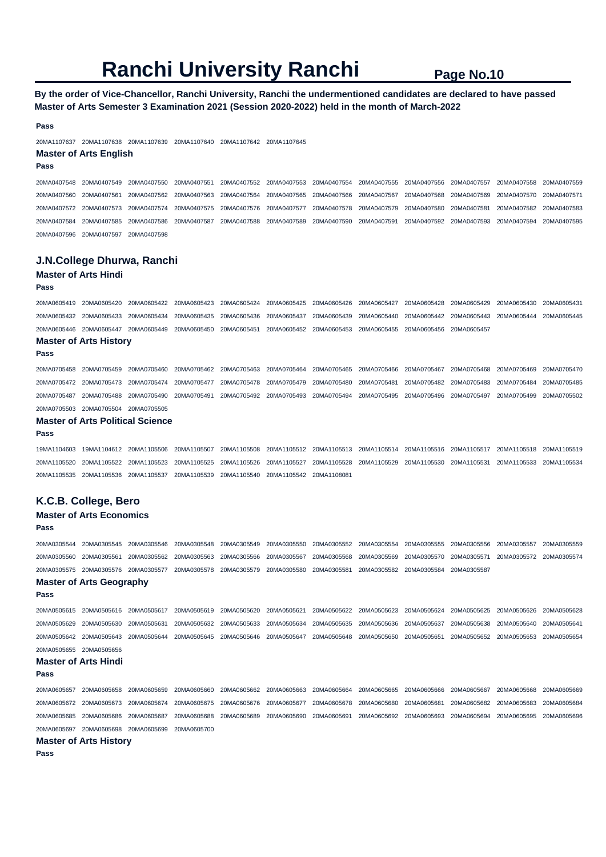## **By the order of Vice-Chancellor, Ranchi University, Ranchi the undermentioned candidates are declared to have passed Master of Arts Semester 3 Examination 2021 (Session 2020-2022) held in the month of March-2022**

#### **Pass**

20MA1107637 20MA1107638 20MA1107639 20MA1107640 20MA1107642 20MA1107645

## **Master of Arts English**

**Pass** 

20MA0407548 20MA0407549 20MA0407550 20MA0407551 20MA0407552 20MA0407553 20MA0407554 20MA0407555 20MA0407556 20MA0407557 20MA0407558 20MA0407559 20MA0407560 20MA0407561 20MA0407562 20MA0407563 20MA0407564 20MA0407565 20MA0407566 20MA0407567 20MA0407568 20MA0407569 20MA0407570 20MA0407571 20MA0407572 20MA0407573 20MA0407574 20MA0407575 20MA0407576 20MA0407577 20MA0407578 20MA0407579 20MA0407580 20MA0407581 20MA0407582 20MA0407583 20MA0407584 20MA0407585 20MA0407586 20MA0407587 20MA0407588 20MA0407589 20MA0407590 20MA0407591 20MA0407592 20MA0407593 20MA0407594 20MA0407595 20MA0407596 20MA0407597 20MA0407598

## **J.N.College Dhurwa, Ranchi**

# **Master of Arts Hindi**

#### **Pass**

20MA0605419 20MA0605420 20MA0605422 20MA0605423 20MA0605424 20MA0605425 20MA0605426 20MA0605427 20MA0605428 20MA0605429 20MA0605430 20MA0605431 20MA0605432 20MA0605433 20MA0605434 20MA0605435 20MA0605436 20MA0605437 20MA0605439 20MA0605440 20MA0605442 20MA0605443 20MA0605444 20MA0605445 20MA0605446 20MA0605447 20MA0605449 20MA0605450 20MA0605451 20MA0605452 20MA0605453 20MA0605455 20MA0605456 20MA0605457 **Master of Arts History** 

#### **Pass**

20MA0705458 20MA0705459 20MA0705460 20MA0705462 20MA0705463 20MA0705464 20MA0705465 20MA0705466 20MA0705467 20MA0705468 20MA0705469 20MA0705470 20MA0705472 20MA0705473 20MA0705474 20MA0705477 20MA0705478 20MA0705479 20MA0705480 20MA0705481 20MA0705482 20MA0705483 20MA0705484 20MA0705485 20MA0705487 20MA0705488 20MA0705490 20MA0705491 20MA0705492 20MA0705493 20MA0705494 20MA0705495 20MA0705496 20MA0705497 20MA0705499 20MA0705502 20MA0705503 20MA0705504 20MA0705505

#### **Master of Arts Political Science**

**Pass** 

19MA1104603 19MA1104612 20MA1105506 20MA1105507 20MA1105508 20MA1105512 20MA1105513 20MA1105514 20MA1105516 20MA1105517 20MA1105518 20MA1105519 20MA1105520 20MA1105522 20MA1105523 20MA1105525 20MA1105526 20MA1105527 20MA1105528 20MA1105529 20MA1105530 20MA1105531 20MA1105533 20MA1105534 20MA1105535 20MA1105536 20MA1105537 20MA1105539 20MA1105540 20MA1105542 20MA1108081

### **K.C.B. College, Bero**

#### **Master of Arts Economics Pass**

20MA0305544 20MA0305545 20MA0305546 20MA0305548 20MA0305549 20MA0305550 20MA0305552 20MA0305554 20MA0305555 20MA0305556 20MA0305557 20MA0305559 20MA0305560 20MA0305561 20MA0305562 20MA0305563 20MA0305566 20MA0305567 20MA0305568 20MA0305569 20MA0305570 20MA0305571 20MA0305572 20MA0305574 20MA0305575 20MA0305576 20MA0305577 20MA0305578 20MA0305579 20MA0305580 20MA0305581 20MA0305582 20MA0305584 20MA0305587

#### **Master of Arts Geography Pass**

20MA0505615 20MA0505616 20MA0505617 20MA0505619 20MA0505620 20MA0505621 20MA0505622 20MA0505623 20MA0505624 20MA0505625 20MA0505626 20MA0505628 20MA0505629 20MA0505630 20MA0505631 20MA0505632 20MA0505633 20MA0505634 20MA0505635 20MA0505636 20MA0505637 20MA0505638 20MA0505640 20MA0505641 20MA0505642 20MA0505643 20MA0505644 20MA0505645 20MA0505646 20MA0505647 20MA0505648 20MA0505650 20MA0505651 20MA0505652 20MA0505653 20MA0505654 20MA0505655 20MA0505656

#### **Master of Arts Hindi**

**Pass** 

20MA0605657 20MA0605658 20MA0605659 20MA0605660 20MA0605662 20MA0605663 20MA0605664 20MA0605665 20MA0605666 20MA0605667 20MA0605668 20MA0605669 20MA0605672 20MA0605673 20MA0605674 20MA0605675 20MA0605676 20MA0605677 20MA0605678 20MA0605680 20MA0605681 20MA0605682 20MA0605683 20MA0605684 20MA0605685 20MA0605686 20MA0605687 20MA0605688 20MA0605689 20MA0605690 20MA0605691 20MA0605692 20MA0605693 20MA0605694 20MA0605695 20MA0605696 20MA0605697 20MA0605698 20MA0605699 20MA0605700

#### **Master of Arts History**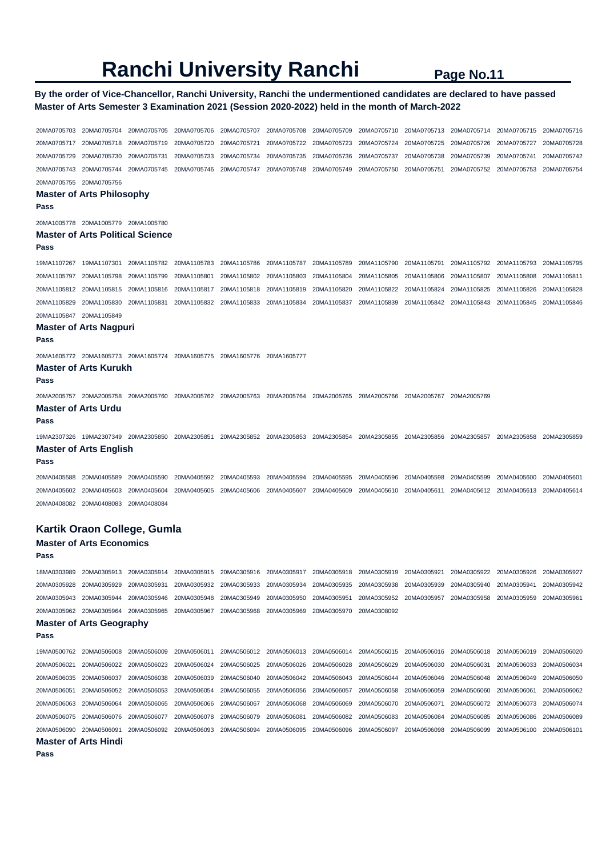## **By the order of Vice-Chancellor, Ranchi University, Ranchi the undermentioned candidates are declared to have passed Master of Arts Semester 3 Examination 2021 (Session 2020-2022) held in the month of March-2022**

20MA0705703 20MA0705704 20MA0705705 20MA0705706 20MA0705707 20MA0705708 20MA0705709 20MA0705710 20MA0705713 20MA0705714 20MA0705715 20MA0705716 20MA0705717 20MA0705718 20MA0705719 20MA0705720 20MA0705721 20MA0705722 20MA0705723 20MA0705724 20MA0705725 20MA0705726 20MA0705727 20MA0705728 20MA0705729 20MA0705730 20MA0705731 20MA0705733 20MA0705734 20MA0705735 20MA0705736 20MA0705737 20MA0705738 20MA0705739 20MA0705741 20MA0705742 20MA0705743 20MA0705744 20MA0705745 20MA0705746 20MA0705747 20MA0705748 20MA0705749 20MA0705750 20MA0705751 20MA0705752 20MA0705753 20MA0705754 20MA0705755 20MA0705756 **Master of Arts Philosophy Pass**  20MA1005778 20MA1005779 20MA1005780 **Master of Arts Political Science Pass**  19MA1107267 19MA1107301 20MA1105782 20MA1105783 20MA1105786 20MA1105787 20MA1105789 20MA1105790 20MA1105791 20MA1105792 20MA1105793 20MA1105795 20MA1105797 20MA1105798 20MA1105799 20MA1105801 20MA1105802 20MA1105803 20MA1105804 20MA1105805 20MA1105806 20MA1105807 20MA1105808 20MA1105811 20MA1105812 20MA1105815 20MA1105816 20MA1105817 20MA1105818 20MA1105819 20MA1105820 20MA1105822 20MA1105824 20MA1105825 20MA1105826 20MA1105828 20MA1105829 20MA1105830 20MA1105831 20MA1105832 20MA1105833 20MA1105834 20MA1105837 20MA1105839 20MA1105842 20MA1105843 20MA1105845 20MA1105846 20MA1105847 20MA1105849 **Master of Arts Nagpuri Pass**  20MA1605772 20MA1605773 20MA1605774 20MA1605775 20MA1605776 20MA1605777 **Master of Arts Kurukh Pass**  20MA2005757 20MA2005758 20MA2005760 20MA2005762 20MA2005763 20MA2005764 20MA2005765 20MA2005766 20MA2005767 20MA2005769 **Master of Arts Urdu Pass**  19MA2307326 19MA2307349 20MA2305850 20MA2305851 20MA2305852 20MA2305853 20MA2305854 20MA2305855 20MA2305856 20MA2305857 20MA2305858 20MA2305859 **Master of Arts English Pass**  20MA0405588 20MA0405589 20MA0405590 20MA0405592 20MA0405593 20MA0405594 20MA0405595 20MA0405596 20MA0405598 20MA0405599 20MA0405600 20MA0405601 20MA0405602 20MA0405603 20MA0405604 20MA0405605 20MA0405606 20MA0405607 20MA0405609 20MA0405610 20MA0405611 20MA0405612 20MA0405613 20MA0405614 20MA0408082 20MA0408083 20MA0408084 **Kartik Oraon College, Gumla Master of Arts Economics Pass** 

## 18MA0303989 20MA0305913 20MA0305914 20MA0305915 20MA0305916 20MA0305917 20MA0305918 20MA0305919 20MA0305921 20MA0305922 20MA0305926 20MA0305927 20MA0305928 20MA0305929 20MA0305931 20MA0305932 20MA0305933 20MA0305934 20MA0305935 20MA0305938 20MA0305939 20MA0305940 20MA0305941 20MA0305942 20MA0305943 20MA0305944 20MA0305946 20MA0305948 20MA0305949 20MA0305950 20MA0305951 20MA0305952 20MA0305957 20MA0305958 20MA0305959 20MA0305961 20MA0305962 20MA0305964 20MA0305965 20MA0305967 20MA0305968 20MA0305969 20MA0305970 20MA0308092 **Master of Arts Geography Pass**  19MA0500762 20MA0506008 20MA0506009 20MA0506011 20MA0506012 20MA0506013 20MA0506014 20MA0506015 20MA0506016 20MA0506018 20MA0506019 20MA0506020 20MA0506021 20MA0506022 20MA0506023 20MA0506024 20MA0506025 20MA0506026 20MA0506028 20MA0506029 20MA0506030 20MA0506031 20MA0506033 20MA0506034 20MA0506035 20MA0506037 20MA0506038 20MA0506039 20MA0506040 20MA0506042 20MA0506043 20MA0506044 20MA0506046 20MA0506048 20MA0506049 20MA0506050 20MA0506051 20MA0506052 20MA0506053 20MA0506054 20MA0506055 20MA0506056 20MA0506057 20MA0506058 20MA0506059 20MA0506060 20MA0506061 20MA0506062 20MA0506063 20MA0506064 20MA0506065 20MA0506066 20MA0506067 20MA0506068 20MA0506069 20MA0506070 20MA0506071 20MA0506072 20MA0506073 20MA0506074 20MA0506075 20MA0506076 20MA0506077 20MA0506078 20MA0506079 20MA0506081 20MA0506082 20MA0506083 20MA0506084 20MA0506085 20MA0506086 20MA0506089 20MA0506090 20MA0506091 20MA0506092 20MA0506093 20MA0506094 20MA0506095 20MA0506096 20MA0506097 20MA0506098 20MA0506099 20MA0506100 20MA0506101 **Master of Arts Hindi**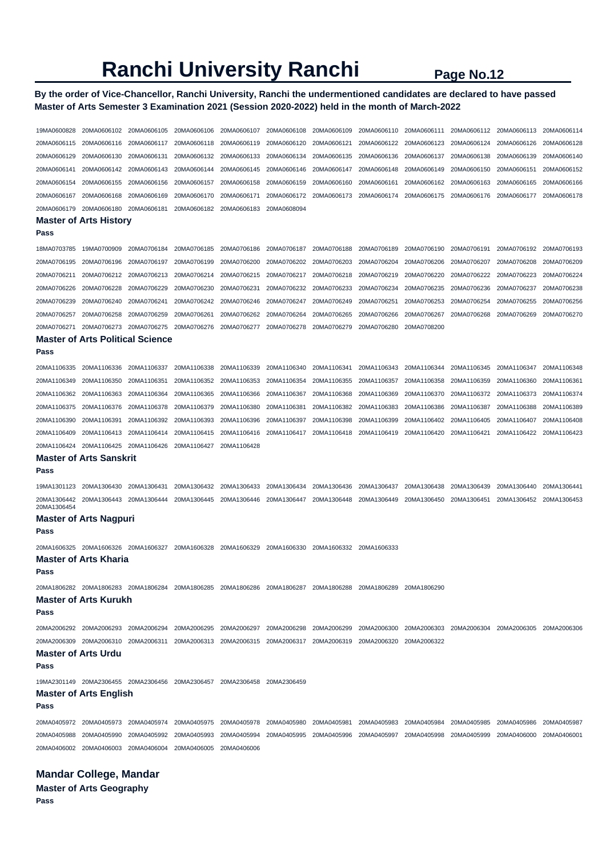## **By the order of Vice-Chancellor, Ranchi University, Ranchi the undermentioned candidates are declared to have passed Master of Arts Semester 3 Examination 2021 (Session 2020-2022) held in the month of March-2022**

| 19MA0600828                | 20MA0606102                                                                                                 | 20MA0606105                | 20MA0606106 | 20MA0606107 | 20MA0606108                | 20MA0606109 | 20MA0606110                                                             | 20MA0606111 | 20MA0606112                                     | 20MA0606113                                                 | 20MA0606114 |
|----------------------------|-------------------------------------------------------------------------------------------------------------|----------------------------|-------------|-------------|----------------------------|-------------|-------------------------------------------------------------------------|-------------|-------------------------------------------------|-------------------------------------------------------------|-------------|
| 20MA0606115                | 20MA0606116                                                                                                 | 20MA0606117                | 20MA0606118 | 20MA0606119 | 20MA0606120                | 20MA0606121 | 20MA0606122                                                             | 20MA0606123 | 20MA0606124                                     | 20MA0606126                                                 | 20MA0606128 |
| 20MA0606129                | 20MA0606130                                                                                                 | 20MA0606131                | 20MA0606132 | 20MA0606133 | 20MA0606134                | 20MA0606135 | 20MA0606136                                                             | 20MA0606137 | 20MA0606138                                     | 20MA0606139                                                 | 20MA0606140 |
| 20MA0606141                | 20MA0606142                                                                                                 | 20MA0606143                | 20MA0606144 | 20MA0606145 | 20MA0606146                | 20MA0606147 | 20MA0606148                                                             | 20MA0606149 | 20MA0606150                                     | 20MA0606151                                                 | 20MA0606152 |
| 20MA0606154                | 20MA0606155                                                                                                 | 20MA0606156                | 20MA0606157 | 20MA0606158 | 20MA0606159                | 20MA0606160 | 20MA0606161                                                             | 20MA0606162 | 20MA0606163                                     | 20MA0606165                                                 | 20MA0606166 |
| 20MA0606167                | 20MA0606168                                                                                                 | 20MA0606169                | 20MA0606170 | 20MA0606171 | 20MA0606172                | 20MA0606173 | 20MA0606174                                                             | 20MA0606175 | 20MA0606176                                     | 20MA0606177                                                 | 20MA0606178 |
| 20MA0606179                | 20MA0606180                                                                                                 | 20MA0606181                | 20MA0606182 | 20MA0606183 | 20MA0608094                |             |                                                                         |             |                                                 |                                                             |             |
|                            | <b>Master of Arts History</b>                                                                               |                            |             |             |                            |             |                                                                         |             |                                                 |                                                             |             |
| Pass                       |                                                                                                             |                            |             |             |                            |             |                                                                         |             |                                                 |                                                             |             |
| 18MA0703785                | 19MA0700909                                                                                                 | 20MA0706184                | 20MA0706185 | 20MA0706186 |                            | 20MA0706188 | 20MA0706189                                                             | 20MA0706190 | 20MA0706191                                     | 20MA0706192                                                 | 20MA0706193 |
| 20MA0706195                | 20MA0706196                                                                                                 | 20MA0706197                | 20MA0706199 | 20MA0706200 | 20MA0706187<br>20MA0706202 | 20MA0706203 | 20MA0706204                                                             | 20MA0706206 | 20MA0706207                                     | 20MA0706208                                                 | 20MA0706209 |
| 20MA0706211                | 20MA0706212                                                                                                 | 20MA0706213                | 20MA0706214 | 20MA0706215 | 20MA0706217                | 20MA0706218 | 20MA0706219                                                             | 20MA0706220 | 20MA0706222                                     | 20MA0706223                                                 | 20MA0706224 |
| 20MA0706226                | 20MA0706228                                                                                                 | 20MA0706229                | 20MA0706230 | 20MA0706231 | 20MA0706232                | 20MA0706233 | 20MA0706234                                                             |             | 20MA0706236                                     | 20MA0706237                                                 | 20MA0706238 |
|                            |                                                                                                             |                            |             |             |                            | 20MA0706249 |                                                                         | 20MA0706235 |                                                 |                                                             | 20MA0706256 |
| 20MA0706239                | 20MA0706240                                                                                                 | 20MA0706241                | 20MA0706242 | 20MA0706246 | 20MA0706247                |             | 20MA0706251                                                             | 20MA0706253 | 20MA0706254                                     | 20MA0706255                                                 |             |
| 20MA0706257                | 20MA0706258<br>20MA0706273                                                                                  | 20MA0706259<br>20MA0706275 | 20MA0706261 | 20MA0706262 | 20MA0706264                | 20MA0706265 | 20MA0706266<br>20MA0706280                                              | 20MA0706267 | 20MA0706268                                     | 20MA0706269                                                 | 20MA0706270 |
| 20MA0706271                | <b>Master of Arts Political Science</b>                                                                     |                            | 20MA0706276 | 20MA0706277 | 20MA0706278                | 20MA0706279 |                                                                         | 20MA0708200 |                                                 |                                                             |             |
| Pass                       |                                                                                                             |                            |             |             |                            |             |                                                                         |             |                                                 |                                                             |             |
|                            |                                                                                                             |                            |             |             |                            |             |                                                                         |             |                                                 |                                                             |             |
| 20MA1106335                | 20MA1106336                                                                                                 | 20MA1106337                | 20MA1106338 | 20MA1106339 | 20MA1106340                | 20MA1106341 | 20MA1106343                                                             | 20MA1106344 | 20MA1106345                                     | 20MA1106347                                                 | 20MA1106348 |
| 20MA1106349                | 20MA1106350                                                                                                 | 20MA1106351                | 20MA1106352 | 20MA1106353 | 20MA1106354                | 20MA1106355 | 20MA1106357                                                             | 20MA1106358 | 20MA1106359                                     | 20MA1106360                                                 | 20MA1106361 |
| 20MA1106362                | 20MA1106363                                                                                                 | 20MA1106364                | 20MA1106365 | 20MA1106366 | 20MA1106367                | 20MA1106368 | 20MA1106369                                                             | 20MA1106370 | 20MA1106372                                     | 20MA1106373                                                 | 20MA1106374 |
| 20MA1106375                | 20MA1106376                                                                                                 | 20MA1106378                | 20MA1106379 | 20MA1106380 | 20MA1106381                | 20MA1106382 | 20MA1106383                                                             | 20MA1106386 | 20MA1106387                                     | 20MA1106388                                                 | 20MA1106389 |
| 20MA1106390                | 20MA1106391                                                                                                 | 20MA1106392                | 20MA1106393 | 20MA1106396 | 20MA1106397                | 20MA1106398 | 20MA1106399                                                             | 20MA1106402 | 20MA1106405                                     | 20MA1106407                                                 | 20MA1106408 |
| 20MA1106409                | 20MA1106413                                                                                                 | 20MA1106414                | 20MA1106415 | 20MA1106416 | 20MA1106417                | 20MA1106418 | 20MA1106419                                                             | 20MA1106420 | 20MA1106421                                     | 20MA1106422                                                 | 20MA1106423 |
| 20MA1106424                | 20MA1106425                                                                                                 | 20MA1106426                | 20MA1106427 | 20MA1106428 |                            |             |                                                                         |             |                                                 |                                                             |             |
| Pass                       | <b>Master of Arts Sanskrit</b>                                                                              |                            |             |             |                            |             |                                                                         |             |                                                 |                                                             |             |
| 19MA1301123                | 20MA1306430                                                                                                 | 20MA1306431                | 20MA1306432 | 20MA1306433 | 20MA1306434                | 20MA1306436 | 20MA1306437                                                             | 20MA1306438 | 20MA1306439                                     | 20MA1306440                                                 | 20MA1306441 |
| 20MA1306442<br>20MA1306454 | 20MA1306443                                                                                                 | 20MA1306444                | 20MA1306445 | 20MA1306446 | 20MA1306447                | 20MA1306448 | 20MA1306449                                                             | 20MA1306450 | 20MA1306451                                     | 20MA1306452                                                 | 20MA1306453 |
|                            | <b>Master of Arts Nagpuri</b>                                                                               |                            |             |             |                            |             |                                                                         |             |                                                 |                                                             |             |
| Pass                       |                                                                                                             |                            |             |             |                            |             |                                                                         |             |                                                 |                                                             |             |
| 20MA1606325                | 20MA1606326 20MA1606327                                                                                     |                            | 20MA1606328 | 20MA1606329 | 20MA1606330                | 20MA1606332 | 20MA1606333                                                             |             |                                                 |                                                             |             |
| Pass                       | Master of Arts Kharia                                                                                       |                            |             |             |                            |             |                                                                         |             |                                                 |                                                             |             |
|                            | 20MA1806282 20MA1806283 20MA1806284 20MA1806285 20MA1806286 20MA1806287 20MA1806288 20MA1806289 20MA1806290 |                            |             |             |                            |             |                                                                         |             |                                                 |                                                             |             |
|                            | <b>Master of Arts Kurukh</b>                                                                                |                            |             |             |                            |             |                                                                         |             |                                                 |                                                             |             |
| Pass                       |                                                                                                             |                            |             |             |                            |             |                                                                         |             |                                                 |                                                             |             |
|                            | 20MA2006292 20MA2006293 20MA2006294 20MA2006295 20MA2006297 20MA2006298 20MA2006299                         |                            |             |             |                            |             |                                                                         |             |                                                 | 20MA2006300 20MA2006303 20MA2006304 20MA2006305 20MA2006306 |             |
|                            | 20MA2006309 20MA2006310 20MA2006311 20MA2006313 20MA2006315 20MA2006317 20MA2006319 20MA2006320 20MA2006322 |                            |             |             |                            |             |                                                                         |             |                                                 |                                                             |             |
|                            |                                                                                                             |                            |             |             |                            |             |                                                                         |             |                                                 |                                                             |             |
|                            | <b>Master of Arts Urdu</b>                                                                                  |                            |             |             |                            |             |                                                                         |             |                                                 |                                                             |             |
| Pass                       |                                                                                                             |                            |             |             |                            |             |                                                                         |             |                                                 |                                                             |             |
|                            | 19MA2301149  20MA2306455  20MA2306456  20MA2306457  20MA2306458  20MA2306459                                |                            |             |             |                            |             |                                                                         |             |                                                 |                                                             |             |
| Pass                       | <b>Master of Arts English</b>                                                                               |                            |             |             |                            |             |                                                                         |             |                                                 |                                                             |             |
|                            |                                                                                                             |                            |             |             |                            |             |                                                                         |             |                                                 |                                                             |             |
|                            | 20MA0405972 20MA0405973 20MA0405974 20MA0405975 20MA0405978                                                 |                            |             |             | 20MA0405980                | 20MA0405981 |                                                                         |             | 20MA0405983 20MA0405984 20MA0405985 20MA0405986 |                                                             | 20MA0405987 |
|                            | 20MA0405988 20MA0405990<br>20MA0406002 20MA0406003 20MA0406004 20MA0406005 20MA0406006                      | 20MA0405992                | 20MA0405993 | 20MA0405994 |                            |             | 20MA0405995 20MA0405996 20MA0405997 20MA0405998 20MA0405999 20MA0406000 |             |                                                 |                                                             | 20MA0406001 |

# **Mandar College, Mandar**

**Master of Arts Geography Pass**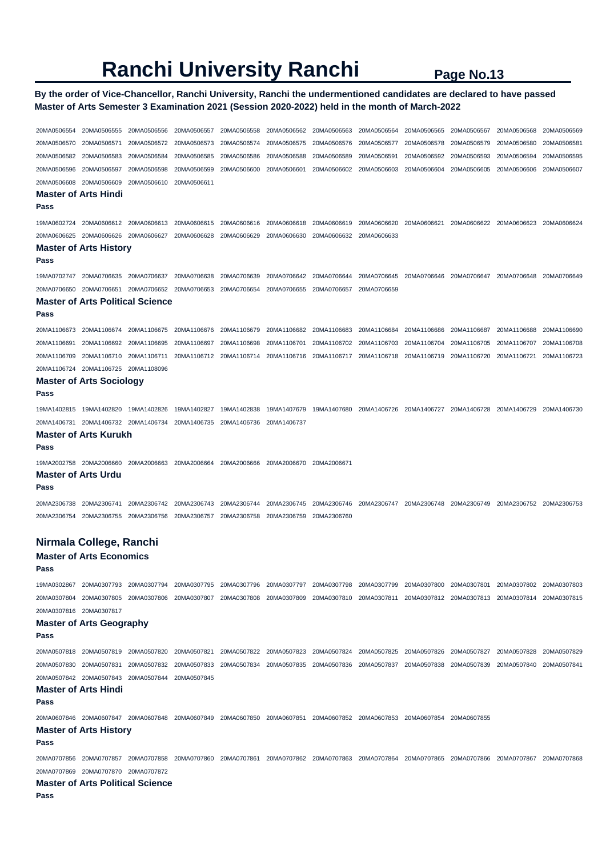### **By the order of Vice-Chancellor, Ranchi University, Ranchi the undermentioned candidates are declared to have passed Master of Arts Semester 3 Examination 2021 (Session 2020-2022) held in the month of March-2022**

20MA0506554 20MA0506555 20MA0506556 20MA0506557 20MA0506558 20MA0506562 20MA0506563 20MA0506564 20MA0506565 20MA0506567 20MA0506568 20MA0506569 20MA0506570 20MA0506571 20MA0506572 20MA0506573 20MA0506574 20MA0506575 20MA0506576 20MA0506577 20MA0506578 20MA0506579 20MA0506580 20MA0506581 20MA0506582 20MA0506583 20MA0506584 20MA0506585 20MA0506586 20MA0506588 20MA0506589 20MA0506591 20MA0506592 20MA0506593 20MA0506594 20MA0506595 20MA0506596 20MA0506597 20MA0506598 20MA0506599 20MA0506600 20MA0506601 20MA0506602 20MA0506603 20MA0506604 20MA0506605 20MA0506606 20MA0506607 20MA0506608 20MA0506609 20MA0506610 20MA0506611 **Master of Arts Hindi Pass**  19MA0602724 20MA0606612 20MA0606613 20MA0606615 20MA0606616 20MA0606618 20MA0606619 20MA0606620 20MA0606621 20MA0606622 20MA0606623 20MA0606624 20MA0606625 20MA0606626 20MA0606627 20MA0606628 20MA0606629 20MA0606630 20MA0606632 20MA0606633 **Master of Arts History Pass**  19MA0702747 20MA0706635 20MA0706637 20MA0706638 20MA0706639 20MA0706642 20MA0706644 20MA0706645 20MA0706646 20MA0706647 20MA0706648 20MA0706649 20MA0706650 20MA0706651 20MA0706652 20MA0706653 20MA0706654 20MA0706655 20MA0706657 20MA0706659 **Master of Arts Political Science Pass**  20MA1106673 20MA1106674 20MA1106675 20MA1106676 20MA1106679 20MA1106682 20MA1106683 20MA1106684 20MA1106686 20MA1106687 20MA1106688 20MA1106690 20MA1106691 20MA1106692 20MA1106695 20MA1106697 20MA1106698 20MA1106701 20MA1106702 20MA1106703 20MA1106704 20MA1106705 20MA1106707 20MA1106708 20MA1106709 20MA1106710 20MA1106711 20MA1106712 20MA1106714 20MA1106716 20MA1106717 20MA1106718 20MA1106719 20MA1106720 20MA1106721 20MA1106723 20MA1106724 20MA1106725 20MA1108096 **Master of Arts Sociology Pass**  19MA1402815 19MA1402820 19MA1402826 19MA1402827 19MA1402838 19MA1407679 19MA1407680 20MA1406726 20MA1406727 20MA1406728 20MA1406729 20MA1406730 20MA1406731 20MA1406732 20MA1406734 20MA1406735 20MA1406736 20MA1406737 **Master of Arts Kurukh Pass**  19MA2002758 20MA2006660 20MA2006663 20MA2006664 20MA2006666 20MA2006670 20MA2006671 **Master of Arts Urdu Pass**  20MA2306738 20MA2306741 20MA2306742 20MA2306743 20MA2306744 20MA2306745 20MA2306746 20MA2306747 20MA2306748 20MA2306749 20MA2306752 20MA2306753 20MA2306754 20MA2306755 20MA2306756 20MA2306757 20MA2306758 20MA2306759 20MA2306760 **Nirmala College, Ranchi Master of Arts Economics Pass**  19MA0302867 20MA0307793 20MA0307794 20MA0307795 20MA0307796 20MA0307797 20MA0307798 20MA0307799 20MA0307800 20MA0307801 20MA0307802 20MA0307803 20MA0307804 20MA0307805 20MA0307806 20MA0307807 20MA0307808 20MA0307809 20MA0307810 20MA0307811 20MA0307812 20MA0307813 20MA0307814 20MA0307815 20MA0307816 20MA0307817 **Master of Arts Geography Pass**  20MA0507818 20MA0507819 20MA0507820 20MA0507821 20MA0507822 20MA0507823 20MA0507824 20MA0507825 20MA0507826 20MA0507827 20MA0507828 20MA0507829 20MA0507830 20MA0507831 20MA0507832 20MA0507833 20MA0507834 20MA0507835 20MA0507836 20MA0507837 20MA0507838 20MA0507839 20MA0507840 20MA0507841 20MA0507842 20MA0507843 20MA0507844 20MA0507845 **Master of Arts Hindi Pass**  20MA0607846 20MA0607847 20MA0607848 20MA0607849 20MA0607850 20MA0607851 20MA0607852 20MA0607853 20MA0607854 20MA0607855 **Master of Arts History Pass**  20MA0707856 20MA0707857 20MA0707858 20MA0707860 20MA0707861 20MA0707862 20MA0707863 20MA0707864 20MA0707865 20MA0707866 20MA0707867 20MA0707868 20MA0707869 20MA0707870 20MA0707872 **Master of Arts Political Science Pass**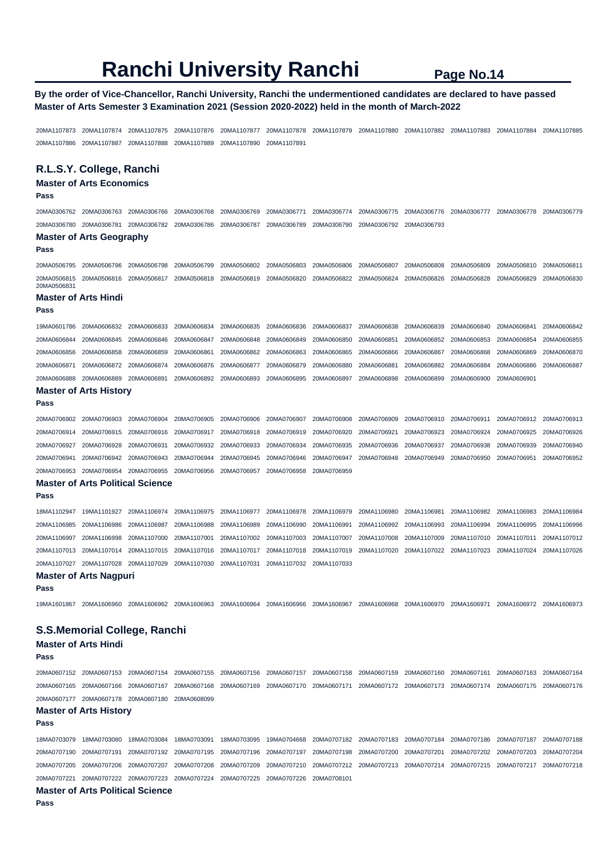## **By the order of Vice-Chancellor, Ranchi University, Ranchi the undermentioned candidates are declared to have passed Master of Arts Semester 3 Examination 2021 (Session 2020-2022) held in the month of March-2022**

20MA1107873 20MA1107874 20MA1107875 20MA1107876 20MA1107877 20MA1107878 20MA1107879 20MA1107880 20MA1107882 20MA1107883 20MA1107884 20MA1107885 20MA1107886 20MA1107887 20MA1107888 20MA1107889 20MA1107890 20MA1107891

## **R.L.S.Y. College, Ranchi**

## **Master of Arts Economics**

**Pass** 

20MA0306762 20MA0306763 20MA0306766 20MA0306768 20MA0306769 20MA0306771 20MA0306774 20MA0306775 20MA0306776 20MA0306777 20MA0306778 20MA0306779 20MA0306780 20MA0306781 20MA0306782 20MA0306786 20MA0306787 20MA0306789 20MA0306790 20MA0306792 20MA0306793 **Master of Arts Geography Pass** 

20MA0506795 20MA0506796 20MA0506798 20MA0506799 20MA0506802 20MA0506803 20MA0506806 20MA0506807 20MA0506808 20MA0506809 20MA0506810 20MA0506811 20MA0506815 20MA0506816 20MA0506817 20MA0506818 20MA0506819 20MA0506820 20MA0506822 20MA0506824 20MA0506826 20MA0506828 20MA0506829 20MA0506830 20MA050683<sup>\*</sup>

#### **Master of Arts Hindi**

**Pass** 

**Pass** 

| 19MA0601786 20MA0606832 20MA0606833 20MA0606834 20MA0606835 20MA0606836 20MA0606837 20MA0606838 20MA0606839 20MA0606840 20MA0606841 20MA0606842                                                                                |  |  |  |  |  |
|--------------------------------------------------------------------------------------------------------------------------------------------------------------------------------------------------------------------------------|--|--|--|--|--|
| 20MA0606844 20MA0606845 20MA0606846 20MA0606847 20MA0606848 20MA0606849 20MA0606850 20MA0606851 20MA0606852 20MA0606853 20MA0606854 20MA0606855                                                                                |  |  |  |  |  |
| 20MA0606856 20MA0606858 20MA0606859 20MA0606861 20MA0606862 20MA0606863 20MA0606866 20MA0606866 20MA0606867 20MA0606868 20MA0606869 20MA0606869 20MA0606869 20MA0606869 20MA0606869 20MA0606869 20MA0606869 20MA0606869 20MA06 |  |  |  |  |  |
| 20MA0606871 20MA0606872 20MA0606874 20MA0606876 20MA0606877 20MA0606879 20MA0606880 20MA0606881 20MA0606882 20MA0606884 20MA0606886 20MA0606886                                                                                |  |  |  |  |  |
| 20MA0606888 20MA0606889 20MA0606891 20MA0606892 20MA0606893 20MA0606895 20MA0606897 20MA0606898 20MA0606899 20MA0606900 20MA0606901                                                                                            |  |  |  |  |  |

## **Master of Arts History**

```
20MA0706902 20MA0706903 20MA0706904 20MA0706905 20MA0706906 20MA0706907 20MA0706908 20MA0706909 20MA0706910 20MA0706911 20MA0706912 20MA0706913 
20MA0706914 20MA0706915 20MA0706916 20MA0706917 20MA0706918 20MA0706919 20MA0706920 20MA0706921 20MA0706923 20MA0706924 20MA0706925 20MA0706926 
20MA0706927 20MA0706928 20MA0706931 20MA0706932 20MA0706933 20MA0706934 20MA0706935 20MA0706936 20MA0706937 20MA0706938 20MA0706939 20MA0706940 
20MA0706941 20MA0706942 20MA0706943 20MA0706944 20MA0706945 20MA0706946 20MA0706947 20MA0706948 20MA0706949 20MA0706950 20MA0706951 20MA0706952 
20MA0706953 20MA0706954 20MA0706955 20MA0706956 20MA0706957 20MA0706958 20MA0706959
```
## **Master of Arts Political Science**

**Pass** 

18MA1102947 19MA1101927 20MA1106974 20MA1106975 20MA1106977 20MA1106978 20MA1106979 20MA1106980 20MA1106981 20MA1106982 20MA1106983 20MA1106984 20MA1106985 20MA1106986 20MA1106987 20MA1106988 20MA1106989 20MA1106990 20MA1106991 20MA1106992 20MA1106993 20MA1106994 20MA1106995 20MA1106996 20MA1106997 20MA1106998 20MA1107000 20MA1107001 20MA1107002 20MA1107003 20MA1107007 20MA1107008 20MA1107009 20MA1107010 20MA1107011 20MA1107012 20MA1107013 20MA1107014 20MA1107015 20MA1107016 20MA1107017 20MA1107018 20MA1107019 20MA1107020 20MA1107022 20MA1107023 20MA1107024 20MA1107026 20MA1107027 20MA1107028 20MA1107029 20MA1107030 20MA1107031 20MA1107032 20MA1107033

### **Master of Arts Nagpuri**

**Pass** 

19MA1601867 20MA1606960 20MA1606962 20MA1606963 20MA1606964 20MA1606966 20MA1606967 20MA1606968 20MA1606970 20MA1606971 20MA1606972 20MA1606973

## **S.S.Memorial College, Ranchi**

## **Master of Arts Hindi**

**Pass** 

20MA0607152 20MA0607153 20MA0607154 20MA0607155 20MA0607156 20MA0607157 20MA0607158 20MA0607159 20MA0607160 20MA0607161 20MA0607163 20MA0607164 20MA0607165 20MA0607166 20MA0607167 20MA0607168 20MA0607169 20MA0607170 20MA0607171 20MA0607172 20MA0607173 20MA0607174 20MA0607175 20MA0607176 20MA0607177 20MA0607178 20MA0607180 20MA0608099

#### **Master of Arts History**

**Pass** 

18MA0703079 18MA0703080 18MA0703084 18MA0703091 18MA0703095 19MA0704668 20MA0707182 20MA0707183 20MA0707184 20MA0707186 20MA0707187 20MA0707188 20MA0707190 20MA0707191 20MA0707192 20MA0707195 20MA0707196 20MA0707197 20MA0707198 20MA0707200 20MA0707201 20MA0707202 20MA0707203 20MA0707204 20MA0707205 20MA0707206 20MA0707207 20MA0707208 20MA0707209 20MA0707210 20MA0707212 20MA0707213 20MA0707214 20MA0707215 20MA0707217 20MA0707218 20MA0707221 20MA0707222 20MA0707223 20MA0707224 20MA0707225 20MA0707226 20MA0708101

### **Master of Arts Political Science**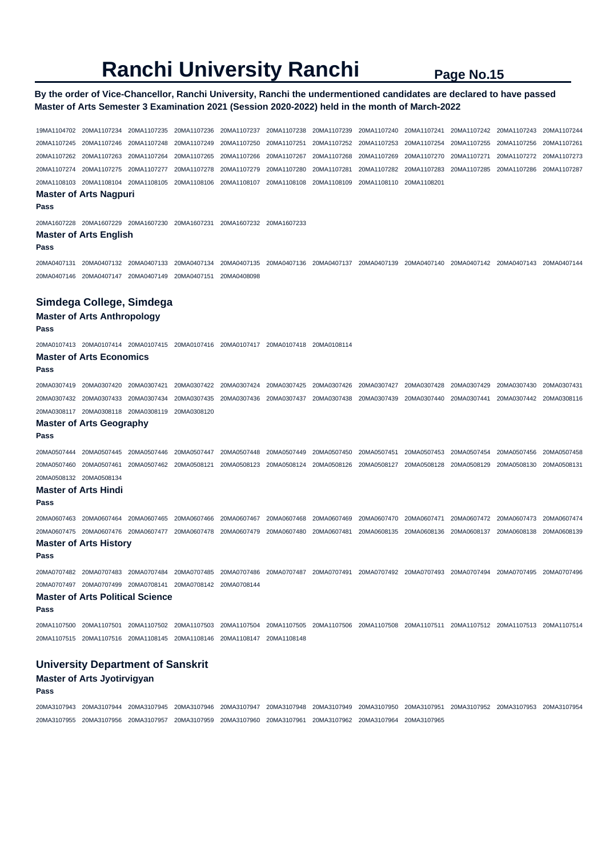## **By the order of Vice-Chancellor, Ranchi University, Ranchi the undermentioned candidates are declared to have passed Master of Arts Semester 3 Examination 2021 (Session 2020-2022) held in the month of March-2022**

19MA1104702 20MA1107234 20MA1107235 20MA1107236 20MA1107237 20MA1107238 20MA1107239 20MA1107240 20MA1107241 20MA1107242 20MA1107243 20MA1107244 20MA1107245 20MA1107246 20MA1107248 20MA1107249 20MA1107250 20MA1107251 20MA1107252 20MA1107253 20MA1107254 20MA1107255 20MA1107256 20MA1107261 20MA1107262 20MA1107263 20MA1107264 20MA1107265 20MA1107266 20MA1107267 20MA1107268 20MA1107269 20MA1107270 20MA1107271 20MA1107272 20MA1107273 20MA1107274 20MA1107275 20MA1107277 20MA1107278 20MA1107279 20MA1107280 20MA1107281 20MA1107282 20MA1107283 20MA1107285 20MA1107286 20MA1107287 20MA1108103 20MA1108104 20MA1108105 20MA1108106 20MA1108107 20MA1108108 20MA1108109 20MA1108110 20MA1108201 **Master of Arts Nagpuri Pass**  20MA1607228 20MA1607229 20MA1607230 20MA1607231 20MA1607232 20MA1607233 **Master of Arts English Pass**  20MA0407131 20MA0407132 20MA0407133 20MA0407134 20MA0407135 20MA0407136 20MA0407137 20MA0407139 20MA0407140 20MA0407142 20MA0407143 20MA0407144 20MA0407146 20MA0407147 20MA0407149 20MA0407151 20MA0408098 **Simdega College, Simdega Master of Arts Anthropology Pass**  20MA0107413 20MA0107414 20MA0107415 20MA0107416 20MA0107417 20MA0107418 20MA0108114 **Master of Arts Economics Pass**  20MA0307419 20MA0307420 20MA0307421 20MA0307422 20MA0307424 20MA0307425 20MA0307426 20MA0307427 20MA0307428 20MA0307429 20MA0307430 20MA0307431 20MA0307432 20MA0307433 20MA0307434 20MA0307435 20MA0307436 20MA0307437 20MA0307438 20MA0307439 20MA0307440 20MA0307441 20MA0307442 20MA0308116 20MA0308117 20MA0308118 20MA0308119 20MA0308120 **Master of Arts Geography Pass**  20MA0507444 20MA0507445 20MA0507446 20MA0507447 20MA0507448 20MA0507449 20MA0507450 20MA0507451 20MA0507453 20MA0507454 20MA0507456 20MA0507458 20MA0507460 20MA0507461 20MA0507462 20MA0508121 20MA0508123 20MA0508124 20MA0508126 20MA0508127 20MA0508128 20MA0508129 20MA0508130 20MA0508131 20MA0508132 20MA0508134 **Master of Arts Hindi Pass**  20MA0607463 20MA0607464 20MA0607465 20MA0607466 20MA0607467 20MA0607468 20MA0607469 20MA0607470 20MA0607471 20MA0607472 20MA0607473 20MA0607474 20MA0607475 20MA0607476 20MA0607477 20MA0607478 20MA0607479 20MA0607480 20MA0607481 20MA0608135 20MA0608136 20MA0608137 20MA0608138 20MA0608139 **Master of Arts History Pass**  20MA0707482 20MA0707483 20MA0707484 20MA0707485 20MA0707486 20MA0707487 20MA0707491 20MA0707492 20MA0707493 20MA0707494 20MA0707495 20MA0707496 20MA0707497 20MA0707499 20MA0708141 20MA0708142 20MA0708144 **Master of Arts Political Science Pass**  20MA1107500 20MA1107501 20MA1107502 20MA1107503 20MA1107504 20MA1107505 20MA1107506 20MA1107508 20MA1107511 20MA1107512 20MA1107513 20MA1107514 20MA1107515 20MA1107516 20MA1108145 20MA1108146 20MA1108147 20MA1108148 **University Department of Sanskrit Master of Arts Jyotirvigyan** 

**Pass** 

20MA3107943 20MA3107944 20MA3107945 20MA3107946 20MA3107947 20MA3107948 20MA3107949 20MA3107950 20MA3107951 20MA3107952 20MA3107953 20MA3107954 20MA3107955 20MA3107956 20MA3107957 20MA3107959 20MA3107960 20MA3107961 20MA3107962 20MA3107964 20MA3107965